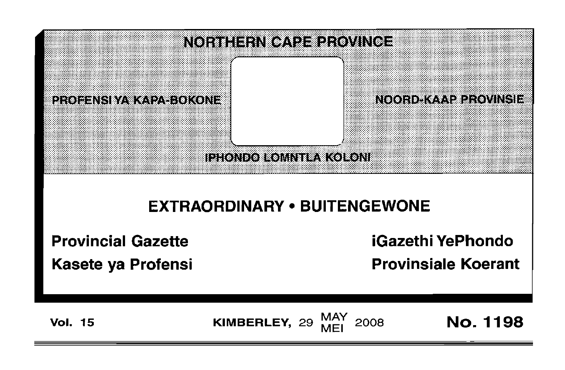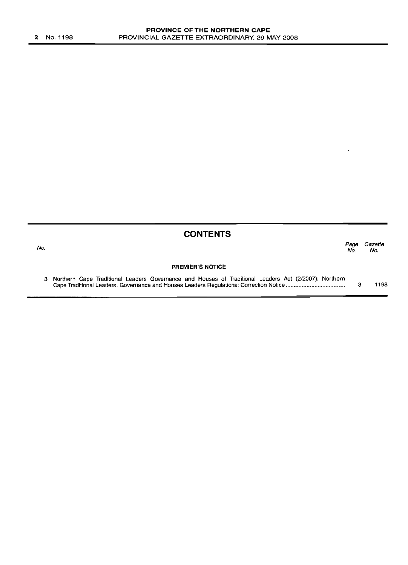|     | <b>CONTENTS</b>                                                                                         |             |                |
|-----|---------------------------------------------------------------------------------------------------------|-------------|----------------|
| No. |                                                                                                         | Page<br>No. | Gazette<br>No. |
|     | <b>PREMIER'S NOTICE</b>                                                                                 |             |                |
|     | 3 Northern Cape Traditional Leaders Governance and Houses of Traditional Leaders Act (2/2007): Northern |             | 1198           |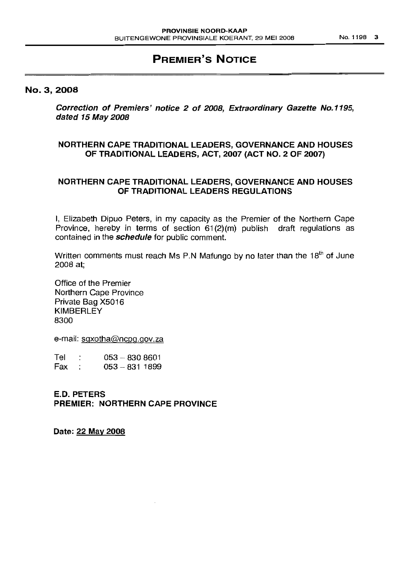# **PREMIER'S NOTICE**

#### No.3, 2008

Correction of Premiers' notice 2 of 2008, Extraordinary Gazette No.1195, dated 15 May 2008

# NORTHERN CAPE TRADITIONAL LEADERS, GOVERNANCE AND HOUSES OF TRADITIONAL LEADERS, ACT, 2007 (ACT NO.2 OF 2007)

# NORTHERN CAPE TRADITIONAL LEADERS, GOVERNANCE AND HOUSES OF TRADITIONAL LEADERS REGULATIONS

I, Elizabeth Dipuo Peters, in my capacity as the Premier of the Northern Cape Province, hereby in terms of section 61(2)(m) publish draft regulations as contained in the **schedule** for public comment.

Written comments must reach Ms P.N Mafungo by no later than the  $18<sup>th</sup>$  of June 2008 at;

Office of the Premier Northern Cape Province Private Bag X5016 KIMBERLEY 8300

e-mail: sgxotha@ncpg.gov.za

 $Tel$  :  $053 - 8308601$ Fax:  $053 - 8311899$ 

E.D. PETERS PREMIER: NORTHERN CAPE PROVINCE

Date: 22 May 2008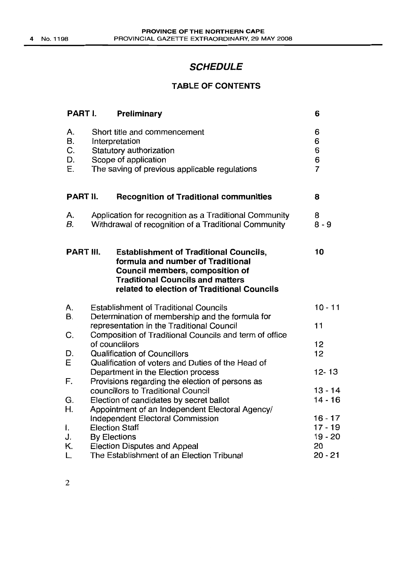# **SCHEDULE**

# **TABLE OF CONTENTS**

| PART I.                    | Preliminary                                                                                                                                                                                                     | 6                                  |
|----------------------------|-----------------------------------------------------------------------------------------------------------------------------------------------------------------------------------------------------------------|------------------------------------|
| А.<br>B.<br>C.<br>D.<br>Е. | Short title and commencement<br>Interpretation<br>Statutory authorization<br>Scope of application<br>The saving of previous applicable regulations                                                              | 6<br>6<br>6<br>6<br>$\overline{7}$ |
| PART II.                   | <b>Recognition of Traditional communities</b>                                                                                                                                                                   | 8                                  |
| А.<br>В.                   | Application for recognition as a Traditional Community<br>Withdrawal of recognition of a Traditional Community                                                                                                  | 8<br>$8 - 9$                       |
| PART III.                  | <b>Establishment of Traditional Councils,</b><br>formula and number of Traditional<br>Council members, composition of<br><b>Traditional Councils and matters</b><br>related to election of Traditional Councils | 10                                 |
| А.                         | <b>Establishment of Traditional Councils</b>                                                                                                                                                                    | $10 - 11$                          |
| В.                         | Determination of membership and the formula for<br>representation in the Traditional Council                                                                                                                    | 11                                 |
| C.                         | Composition of Traditional Councils and term of office<br>of counclilors                                                                                                                                        | 12                                 |
| D.                         | <b>Qualification of Councillors</b>                                                                                                                                                                             | 12                                 |
| E                          | Qualification of voters and Duties of the Head of<br>Department in the Election process                                                                                                                         | $12 - 13$                          |
| F.                         | Provisions regarding the election of persons as                                                                                                                                                                 |                                    |
| G.                         | councillors to Traditional Council<br>Election of candidates by secret ballot                                                                                                                                   | $13 - 14$<br>$14 - 16$             |
| Η.                         | Appointment of an Independent Electoral Agency/                                                                                                                                                                 |                                    |
|                            | <b>Independent Electoral Commission</b>                                                                                                                                                                         | $16 - 17$                          |
| ı.                         | <b>Election Staff</b>                                                                                                                                                                                           | $17 - 19$                          |
| J.                         | <b>By Elections</b>                                                                                                                                                                                             | $19 - 20$                          |
| Κ.                         | <b>Election Disputes and Appeal</b>                                                                                                                                                                             | 20                                 |
| L.                         | The Establishment of an Election Tribunal                                                                                                                                                                       | $20 - 21$                          |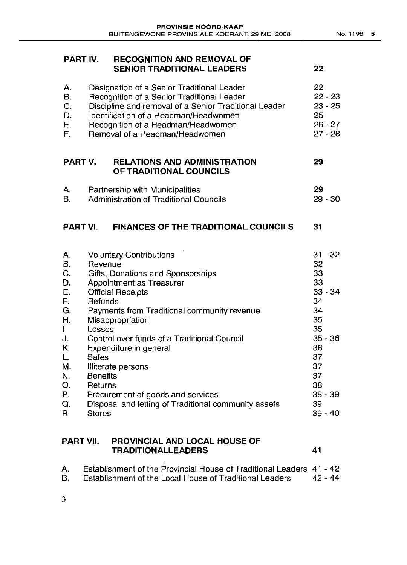| PART IV.                                                                                                           |                                                                                             | <b>RECOGNITION AND REMOVAL OF</b><br><b>SENIOR TRADITIONAL LEADERS</b>                                                                                                                                                                                                                                                                                                                     | 22                                                                                                                                          |
|--------------------------------------------------------------------------------------------------------------------|---------------------------------------------------------------------------------------------|--------------------------------------------------------------------------------------------------------------------------------------------------------------------------------------------------------------------------------------------------------------------------------------------------------------------------------------------------------------------------------------------|---------------------------------------------------------------------------------------------------------------------------------------------|
| А.<br><b>B.</b><br>C.<br>D.<br>E.<br>F.                                                                            |                                                                                             | Designation of a Senior Traditional Leader<br>Recognition of a Senior Traditional Leader<br>Discipline and removal of a Senior Traditional Leader<br>Identification of a Headman/Headwomen<br>Recognition of a Headman/Headwomen<br>Removal of a Headman/Headwomen                                                                                                                         | 22<br>$22 - 23$<br>$23 - 25$<br>25<br>$26 - 27$<br>$27 - 28$                                                                                |
| PART V.                                                                                                            |                                                                                             | <b>RELATIONS AND ADMINISTRATION</b><br>OF TRADITIONAL COUNCILS                                                                                                                                                                                                                                                                                                                             | 29                                                                                                                                          |
| А.<br>Β.                                                                                                           |                                                                                             | Partnership with Municipalities<br><b>Administration of Traditional Councils</b>                                                                                                                                                                                                                                                                                                           | 29<br>$29 - 30$                                                                                                                             |
| PART VI.                                                                                                           |                                                                                             | <b>FINANCES OF THE TRADITIONAL COUNCILS</b>                                                                                                                                                                                                                                                                                                                                                | 31                                                                                                                                          |
| А.<br>В.<br>C.<br>D.<br>E.<br>F.<br>G.<br>H.<br>$\mathbf{L}$<br>J.<br>Κ.<br>L.<br>M.<br>N.<br>О.<br>Ρ.<br>Q.<br>R. | Revenue<br>Refunds<br>Losses<br><b>Safes</b><br><b>Benefits</b><br>Returns<br><b>Stores</b> | <b>Voluntary Contributions</b><br>Gifts, Donations and Sponsorships<br>Appointment as Treasurer<br><b>Official Receipts</b><br>Payments from Traditional community revenue<br>Misappropriation<br>Control over funds of a Traditional Council<br>Expenditure in general<br>Illiterate persons<br>Procurement of goods and services<br>Disposal and letting of Traditional community assets | $31 - 32$<br>32<br>33<br>33<br>$33 - 34$<br>34<br>34<br>35<br>35<br>$35 - 36$<br>36<br>37<br>37<br>37<br>38<br>$38 - 39$<br>39<br>$39 - 40$ |

# **PART VII. PROVINCIAL AND LOCAL HOUSE OF TRADITIONALLEADERS 41**

| A. | Establishment of the Provincial House of Traditional Leaders 41 - 42 |          |
|----|----------------------------------------------------------------------|----------|
| B. | Establishment of the Local House of Traditional Leaders              | -42 - 44 |

3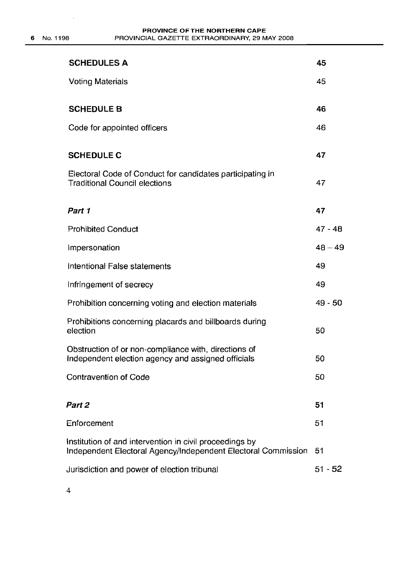$\sim$   $\epsilon$ 

| <b>SCHEDULES A</b>                                                                                                       | 45        |
|--------------------------------------------------------------------------------------------------------------------------|-----------|
| <b>Voting Materials</b>                                                                                                  | 45        |
| <b>SCHEDULE B</b>                                                                                                        | 46        |
| Code for appointed officers                                                                                              | 46        |
| <b>SCHEDULE C</b>                                                                                                        | 47        |
| Electoral Code of Conduct for candidates participating in<br><b>Traditional Council elections</b>                        | 47        |
| Part 1                                                                                                                   | 47        |
| <b>Prohibited Conduct</b>                                                                                                | $47 - 48$ |
| Impersonation                                                                                                            | $48 - 49$ |
| Intentional False statements                                                                                             | 49        |
| Infringement of secrecy                                                                                                  | 49        |
| Prohibition concerning voting and election materials                                                                     | $49 - 50$ |
| Prohibitions concerning placards and billboards during<br>election                                                       | 50        |
| Obstruction of or non-compliance with, directions of<br>Independent election agency and assigned officials               | 50        |
| <b>Contravention of Code</b>                                                                                             | 50        |
| Part 2                                                                                                                   | 51        |
| Enforcement                                                                                                              | 51        |
| Institution of and intervention in civil proceedings by<br>Independent Electoral Agency/Independent Electoral Commission | 51        |
| Jurisdiction and power of election tribunal                                                                              | $51 - 52$ |

4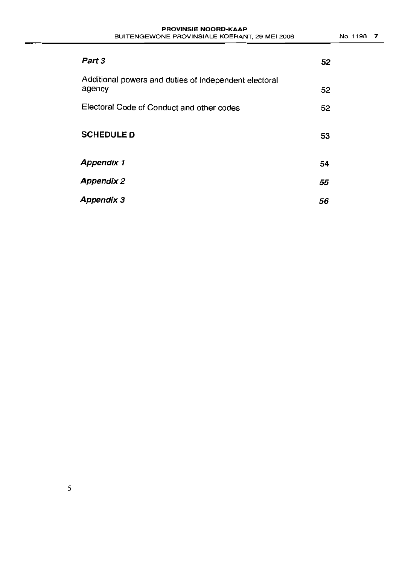| Part 3                                                          | 52 |
|-----------------------------------------------------------------|----|
| Additional powers and duties of independent electoral<br>agency | 52 |
| Electoral Code of Conduct and other codes                       | 52 |
| <b>SCHEDULE D</b>                                               | 53 |
| <b>Appendix 1</b>                                               | 54 |
| <b>Appendix 2</b>                                               | 55 |
| Appendix 3                                                      | 56 |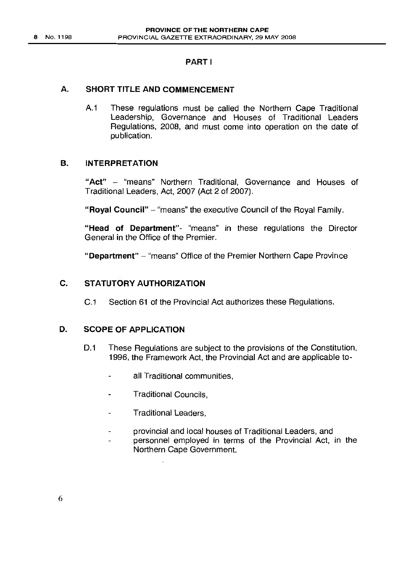# PART I

# A. SHORT TITLE AND COMMENCEMENT

A.1 These regulations must be called the Northern Cape Traditional Leadership, Governance and Houses of Traditional Leaders Regulations, 2008, and must come into operation on the date of publication.

# B. INTERPRETATION

"Act" - "means" Northern Traditional, Governance and Houses of Traditional Leaders, Act, 2007 (Act 2 of 2007).

"Royal Council" - "means" the executive Council of the Royal Family.

"Head of Department"- "means" in these regulations the Director General in the Office of the Premier.

"Department" - "means" Office of the Premier Northern Cape Province

# C. STATUTORY AUTHORIZATION

C.1 Section 61 of the Provincial Act authorizes these Regulations.

#### D. SCOPE OF APPLICATION

- D.1 These Regulations are subject to the provisions of the Constitution, 1996, the Framework Act, the Provincial Act and are applicable to
	- all Traditional communities,  $\overline{a}$
	- Traditional Councils,  $\overline{a}$
	- Traditional Leaders,
	- provincial and local houses of Traditional Leaders, and  $\overline{a}$
	- personnel employed in terms of the Provincial Act, in the Northern Cape Government.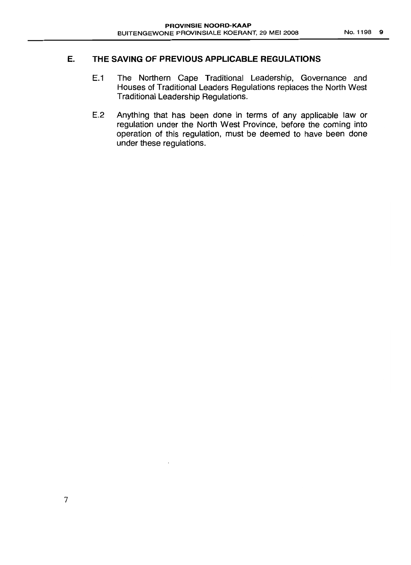# **E. THE SAVING OF PREVIOUS APPLICABLE REGULATIONS**

- E.1 The Northern Cape Traditional Leadership, Governance and Houses of Traditional Leaders Regulations replaces the North West Traditional Leadership Regulations.
- E.2 Anything that has been done in terms of any applicable law or regulation under the North West Province, before the coming into operation of this regulation, must be deemed to have been done under these regulations.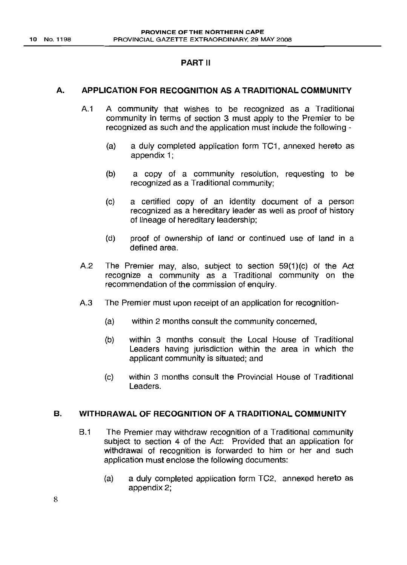# PART II

### A. APPLICATION FOR RECOGNITION AS A TRADITIONAL COMMUNITY

- A.1 A community that wishes to be recognized as a Traditional community in terms of section 3 must apply to the Premier to be recognized as such and the application must include the following -
	- (a) a duly completed application form TC1, annexed hereto as appendix 1;
	- (b) a copy of a community resolution, requesting to be recognized as a Traditional community;
	- (c) a certified copy of an identity document of a person recognized as a hereditary leader as well as proof of history of lineage of hereditary leadership;
	- (d) proof of ownership of land or continued use of land in a defined area.
- A.2 The Premier may, also, subject to section  $59(1)(c)$  of the Act recognize a community as a Traditional community on the recommendation of the commission of enquiry.
- A.3 The Premier must upon receipt of an application for recognition-
	- (a) within 2 months consult the community concerned,
	- (b) within 3 months consult the Local House of Traditional Leaders having jurisdiction within the area in which the applicant community is situated; and
	- (c) within 3 months consult the Provincial House of Traditional Leaders.

### B. WITHDRAWAL OF RECOGNITION OF A TRADITIONAL COMMUNITY

- B.1 The Premier may withdraw recognition of a Traditional community subject to section 4 of the Act: Provided that an application for withdrawal of recognition is forwarded to him or her and such application must enclose the following documents:
	- (a) a duly completed application form TC2, annexed hereto as appendix 2;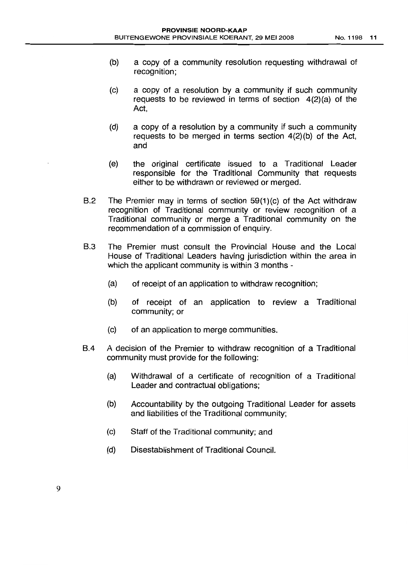- (b) a copy of a community resolution requesting withdrawal of recognition;
- (c) a copy of a resolution by a community if such community requests to be reviewed in terms of section 4(2)(a) of the Act,
- (d) a copy of a resolution by a community if such a community requests to be merged in terms section 4(2)(b) of the Act, and
- (e) the original certificate issued to a Traditional Leader responsible for the Traditional Community that requests either to be withdrawn or reviewed or merged.
- B.2 The Premier may in terms of section 59(1)(c) of the Act withdraw recognition of Traditional community or review recognition of a Traditional community or merge a Traditional community on the recommendation of a commission of enquiry.
- B.3 The Premier must consult the Provincial House and the Local House of Traditional Leaders having jurisdiction within the area in which the applicant community is within 3 months -
	- (a) of receipt of an application to withdraw recognition;
	- (b) of receipt of an application to review a Traditional community; or
	- (c) of an application to merge communities.
- B.4 A decision of the Premier to withdraw recognition of a Traditional community must provide for the following:
	- (a) Withdrawal of a certificate of recognition of a Traditional Leader and contractual obligations;
	- (b) Accountability by the outgoing Traditional Leader for assets and liabilities of the Traditional community;
	- (c) Staff of the Traditional community; and
	- (d) Disestablishment of Traditional Council.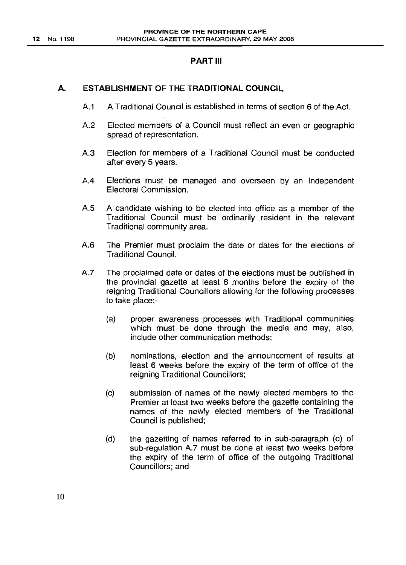### PART III

# A. ESTABLISHMENT OF THE TRADITIONAL COUNCIL

- A1 A Traditional Council is established in terms of section 6 of the Act.
- A2 Elected members of a Council must reflect an even or geographic spread of representation.
- A3 Election for members of a Traditional Council must be conducted after every 5 years.
- A4 Elections must be managed and overseen by an Independent Electoral Commission.
- A5 A candidate wishing to be elected into office as a member of the Traditional Council must be ordinarily resident in the relevant Traditional community area.
- A6 The Premier must proclaim the date or dates for the elections of Traditional Council.
- A.7 The proclaimed date or dates of the elections must be published in the provincial gazette at least 6 months before the expiry of the reigning Traditional Councillors allowing for the following processes to take place:-
	- (a) proper awareness processes with Traditional communities which must be done through the media and may, also, include other communication methods;
	- (b) nominations, election and the announcement of results at least 6 weeks before the expiry of the term of office of the reigning Traditional Councillors;
	- (c) submission of names of the newly elected members to the Premier at least two weeks before the gazette containing the names of the newly elected members of the Traditional Council is published;
	- (d) the gazetting of names referred to in sub-paragraph (c) of sub-regulation A.7 must be done at least two weeks before the expiry of the term of office of the outgoing Traditional Councillors; and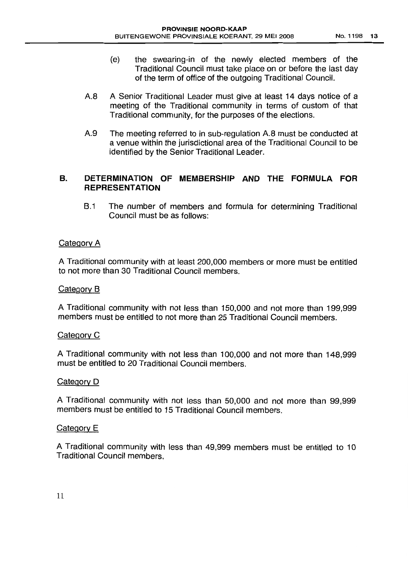- (e) the swearing-in of the newly elected members of the Traditional Council must take place on or before the last day of the term of office of the outgoing Traditional Council.
- A8 A Senior Traditional Leader must give at least 14 days notice of a meeting of the Traditional community in terms of custom of that Traditional community, for the purposes of the elections.
- A9 The meeting referred to in sub-regulation A8 must be conducted at a venue within the jurisdictional area of the Traditional Council to be identified by the Senior Traditional Leader.

# B. **DETERMINATION OF MEMBERSHIP AND THE FORMULA FOR REPRESENTATION**

B.1 The number of members and formula for determining Traditional Council must be as follows:

# Category A

A Traditional community with at least 200,000 members or more must be entitled to not more than 30 Traditional Council members.

# Category B

A Traditional community with not less than 150,000 and not more than 199,999 members must be entitled to not more than 25 Traditional Council members.

# Category C

A Traditional community with not less than 100,000 and not more than 148,999 must be entitled to 20 Traditional Council members.

# Category D

A Traditional community with not less than 50,000 and not more than 99,999 members must be entitled to 15 Traditional Council members.

# Category E

A Traditional community with less than 49,999 members must be entitled to 10 Traditional Council members,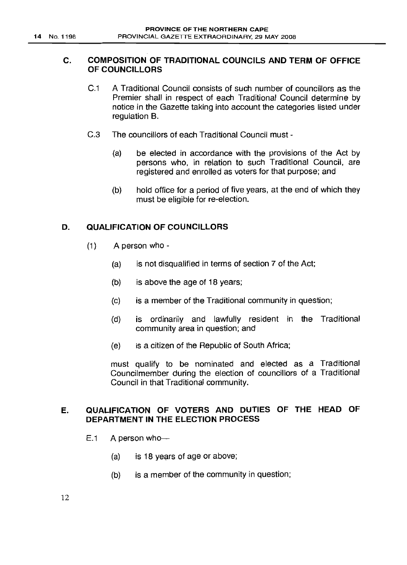# C. COMPOSITION OF TRADITIONAL COUNCILS AND TERM OF OFFICE OF COUNCILLORS

- C.1 A Traditional Council consists of such number of councillors as the Premier shall in respect of each Traditional Council determine by notice in the Gazette taking into account the categories listed under regulation B.
- C.3 The councillors of each Traditional Council must
	- (a) be elected in accordance with the provisions of the Act by persons who, in relation to such Traditional Council, are registered and enrolled as voters for that purpose; and
	- (b) hold office for a period of five years, at the end of which they must be eligible for re-election.

# D. QUALIFICATION OF COUNCILLORS

- (1) A person who
	- (a) is not disqualified in terms of section 7 of the Act;
	- (b) is above the age of 18 years;
	- (c) is a member of the Traditional community in question;
	- (d) is ordinarily and lawfully resident in the Traditional community area in question; and
	- (e) is a citizen of the Republic of South Africa;

must qualify to be nominated and elected as a Traditional Councilmember during the election of councillors of a Traditional Council in that Traditional community.

# E. QUALIFICATION OF VOTERS AND DUTIES OF THE HEAD OF DEPARTMENT IN THE ELECTION PROCESS

- $E.1$  A person who-
	- (a) is 18 years of age or above;
	- (b) is a member of the community in question;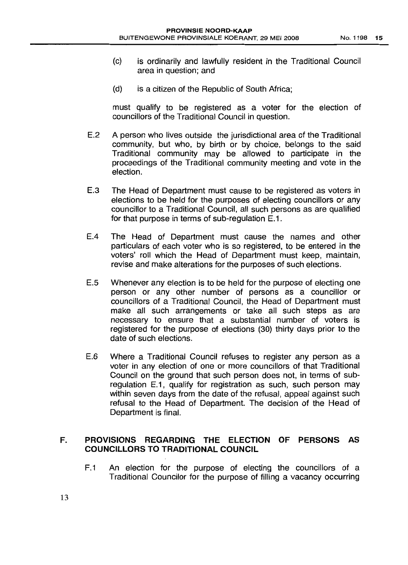- (c) is ordinarily and lawfully resident in the Traditional Council area in question; and
- (d) is a citizen of the Republic of South Africa;

must qualify to be registered as a voter for the election of councillors of the Traditional Council in question.

- E.2 A person who lives outside the jurisdictional area of the Traditional community, but who, by birth or by choice, belongs to the said Traditional community may be allowed to participate in the proceedings of the Traditional community meeting and vote in the election.
- E.3 The Head of Department must cause to be registered as voters in elections to be held for the purposes of electing councillors or any councillor to a Traditional Council, all such persons as are qualified for that purpose in terms of sub-regulation E.1.
- EA The Head of Department must cause the names and other particulars of each voter who is so registered, to be entered in the voters' roll which the Head of Department must keep, maintain, revise and make alterations for the purposes of such elections.
- E.5 Whenever any election is to be held for the purpose of electing one person or any other number of persons as a councillor or councillors of a Traditional Council, the Head of Department must make all such arrangements or take all such steps as are necessary to ensure that a substantial number of voters is registered for the purpose of elections (30) thirty days prior to the date of such elections.
- E.6 Where a Traditional Council refuses to register any person as a voter in any election of one or more councillors of that Traditional Council on the ground that such person does not, in terms of subregulation E.1, qualify for registration as such, such person may within seven days from the date of the refusal, appeal against such refusal to the Head of Department. The decision of the Head of Department is final.

# F. PROVISIONS REGARDING THE ELECTION OF PERSONS AS COUNCILLORS TO TRADITIONAL COUNCIL

F.1 An election for the purpose of electing the councillors of a Traditional Councilor for the purpose of filling a vacancy occurring

13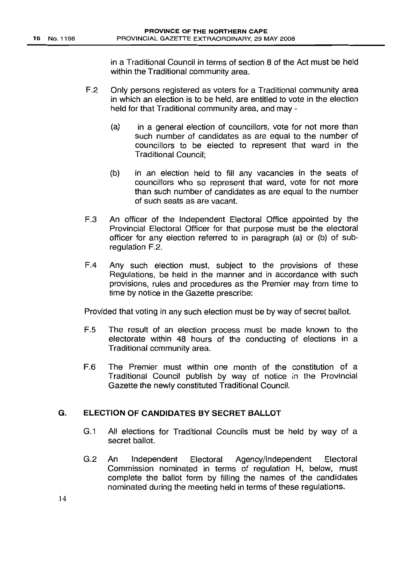in a Traditional Council in terms of section 8 of the Act must be held within the Traditional community area.

- F.2 Only persons registered as voters for a Traditional community area in which an election is to be held, are entitled to vote in the election held for that Traditional community area, and may -
	- (a) in a general election of councillors, vote for not more than such number of candidates as are equal to the number of councillors to be elected to represent that ward in the Traditional Council;
	- (b) in an election held to fill any vacancies in the seats of councillors who so represent that ward, vote for not more than such number of candidates as are equal to the number of such seats as are vacant.
- F.3 An officer of the Independent Electoral Office appointed by the Provincial Electoral Officer for that purpose must be the electoral officer for any election referred to in paragraph (a) or (b) of subregulation F.2.
- F.4 Any such election must, subject to the provisions of these Regulations, be held in the manner and in accordance with such provisions, rules and procedures as the Premier may from time to time by notice in the Gazette prescribe:

Provided that voting in any such election must be by way of secret ballot.

- F.5 The result of an election process must be made known to the electorate within 48 hours of the conducting of elections in a Traditional community area.
- F.6 The Premier must within one month of the constitution of a Traditional Council publish by way of notice in the Provincial Gazette the newly constituted Traditional Council.

### G. ELECTION OF CANDIDATES BY SECRET BALLOT

- G.1 All elections for Traditional Councils must be held by way of a secret ballot.
- G.2 An Independent Electoral Agency/Independent Electoral Commission nominated in terms of regulation H, below, must complete the ballot form by filling the names of the candidates nominated during the meeting held in terms of these regulations.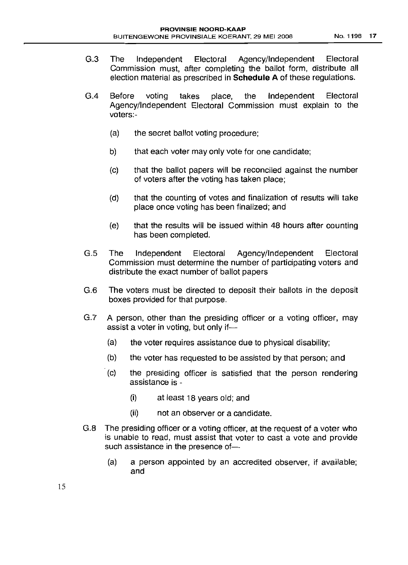- G.3 The Independent Electoral Agency/Independent Electoral Commission must, after completing the ballot form, distribute all election material as prescribed in **Schedule A** of these regulations.
- G.4 Before voting takes place, the Independent Electoral Agency/Independent Electoral Commission must explain to the voters:-
	- (a) the secret ballot voting procedure;
	- b) that each voter may only vote for one candidate;
	- (c) that the ballot papers will be reconciled against the number of voters after the voting has taken place;
	- (d) that the counting of votes and finalization of results will take place once voting has been finalized; and
	- (e) that the results will be issued within 48 hours after counting has been completed.
- G.5 The Independent Electoral Agency/Independent Electoral Commission must determine the number of participating voters and distribute the exact number of ballot papers
- G.6 The voters must be directed to deposit their ballots in the deposit boxes provided for that purpose.
- G.? A person, other than the presiding officer or a voting officer, may assist a voter in voting, but only if-
	- (a) the voter requires assistance due to physical disability;
	- (b) the voter has requested to be assisted by that person; and
	- (c) the presiding officer is satisfied that the person rendering assistance is -
		- (i) at least 18 years old; and
		- (ii) not an observer or a candidate.
- G.8 The presiding officer or a voting officer, at the request of a voter who is unable to read, must assist that voter to cast a vote and provide such assistance in the presence of-
	- (a) a person appointed by an accredited observer, if available; and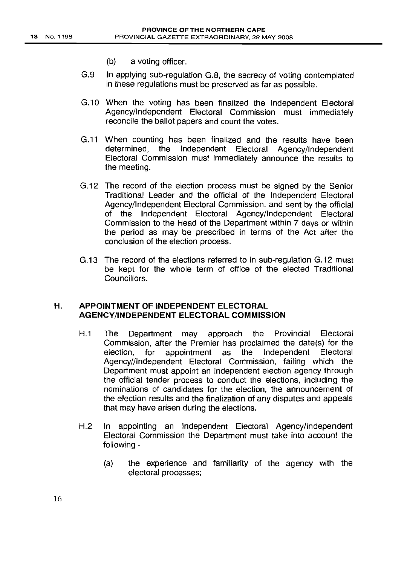- (b) a voting officer.
- G.g In applying sub-regulation G.B, the secrecy of voting contemplated in these regulations must be preserved as far as possible.
- G.10 When the voting has been finalized the Independent Electoral Agency/Independent Electoral Commission must immediately reconcile the ballot papers and count the votes.
- G.11 When counting has been finalized and the results have been determined, the Independent Electoral Agency/Independent Electoral Commission must immediately announce the results to the meeting.
- G.12 The record of the election process must be signed by the Senior Traditional Leader and the official of the Independent Electoral Agency/Independent Electoral Commission, and sent by the official of the Independent Electoral Agency/Independent Electoral Commission to the Head of the Department within 7 days or within the period as may be prescribed in terms of the Act after the conclusion of the election process.
- G.13 The record of the elections referred to in sub-regulation G.12 must be kept for the whole term of office of the elected Traditional Councillors.

### H. APPOINTMENT OF INDEPENDENT ELECTORAL AGENCY/INDEPENDENT ELECTORAL COMMISSION

- H.1 The Department may approach the Provincial Electoral Commission, after the Premier has proclaimed the date(s) for the election, for appointment as the Independent Electoral Agency//lndependent Electoral Commission, failing which the Department must appoint an independent election agency through the official tender process to conduct the elections, including the nominations of candidates for the election, the announcement of the election results and the finalization of any disputes and appeals that may have arisen during the elections.
- H.2 In appointing an Independent Electoral Agency/Independent Electoral Commission the Department must take into account the following -
	- (a) the experience and familiarity of the agency with the electoral processes;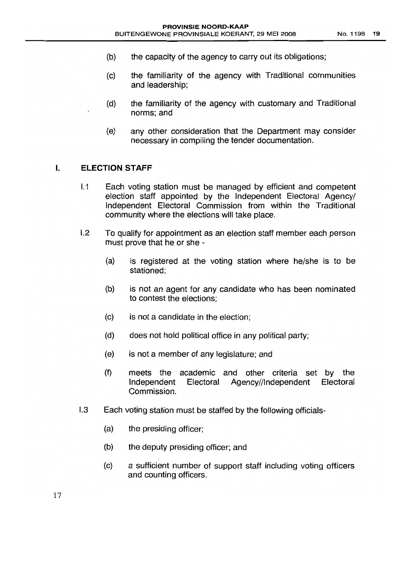- (b) the capacity of the agency to carry out its obligations;
- (c) the familiarity of the agency with Traditional communities and leadership;
- (d) the familiarity of the agency with customary and Traditional norms; and
- (e) any other consideration that the Department may consider necessary in compiling the tender documentation.

#### **I. ELECTION STAFF**

- I.1 Each voting station must be managed by efficient and competent election staff appointed by the Independent Electoral Agency/ Independent Electoral Commission from within the Traditional community where the elections will take place.
- 1.2 To qualify for appointment as an election staff member each person must prove that he or she -
	- (a) is registered at the voting station where he/she is to be stationed;
	- (b) is not an agent for any candidate who has been nominated to contest the elections;
	- (c) is not a candidate in the election;
	- (d) does not hold political office in any political party;
	- (e) is not a member of any legislature; and
	- (f) meets the academic and other criteria set by the Independent Electoral Agency//lndependent Electoral Commission.
- 1.3 Each voting station must be staffed by the following officials-
	- (a) the presiding officer;
	- (b) the deputy presiding officer; and
	- (c) a sufficient number of support staff including voting officers and counting officers.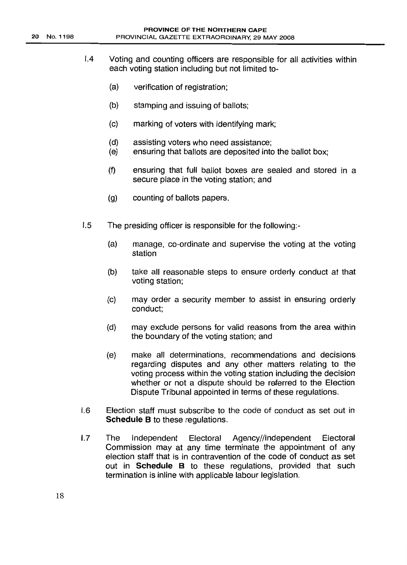- 1.4 Voting and counting officers are responsible for all activities within each voting station including but not limited to-
	- (a) verification of registration;
	- (b) stamping and issuing of ballots;
	- (c) marking of voters with identifying mark;
	- (d) assisting voters who need assistance;
	- (e) ensuring that ballots are deposited into the ballot box;
	- (f) ensuring that full ballot boxes are sealed and stored in a secure place in the voting station; and
	- (g) counting of ballots papers.
- 1.5 The presiding officer is responsible for the following:-
	- (a) manage, co-ordinate and supervise the voting at the voting station
	- (b) take all reasonable steps to ensure orderly conduct at that voting station;
	- (c) may order a security member to assist in ensuring orderly conduct;
	- (d) may exclude persons for valid reasons from the area within the boundary of the voting station; and
	- (e) make all determinations, recommendations and decisions regarding disputes and any other matters relating to the voting process within the voting station including the decision whether or not a dispute should be referred to the Election Dispute Tribunal appointed in terms of these regulations.
- 1.6 Election staff must subscribe to the code of conduct as set out in Schedule B to these regulations.
- 1.7 The Independent Electoral Agency//lndependent Electoral Commission may at any time terminate the appointment of any election staff that is in contravention of the code of conduct as set out in Schedule B to these regulations, provided that such termination is inline with applicable labour legislation.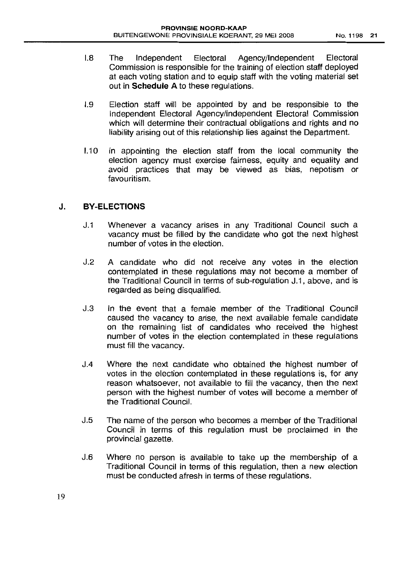- 1.8 The Independent Electoral Agency/Independent Electoral Commission is responsible for the training of election staff deployed at each voting station and to equip staff with the voting material set out in Schedule A to these regulations.
- 1.9 Election staff will be appointed by and be responsible to the Independent Electoral Agency/Independent Electoral Commission which will determine their contractual obligations and rights and no liability arising out of this relationship lies against the Department.
- 1.10 In appointing the election staff from the local community the election agency must exercise fairness, equity and equality and avoid practices that may be viewed as bias, nepotism or favouritism.

# J. BY-ELECTIONS

- J.1 Whenever a vacancy arises in any Traditional Council such a vacancy must be filled by the candidate who got the next highest number of votes in the election.
- J.2 A candidate who did not receive any votes in the election contemplated in these regulations may not become a member of the Traditional Council in terms of sub-regulation J.1, above, and is regarded as being disqualified.
- J.3 In the event that a female member of the Traditional Council caused the vacancy to arise, the next available female candidate on the remaining list of candidates who received the highest number of votes in the election contemplated in these regulations must fill the vacancy.
- J.4 Where the next candidate who obtained the highest number of votes in the election contemplated in these regulations is, for any reason whatsoever, not available to fill the vacancy, then the next person with the highest number of votes will become a member of the Traditional Council.
- J.5 The name of the person who becomes a member of the Traditional Council in terms of this regulation must be proclaimed in the provincial gazette.
- J.6 Where no person is available to take up the membership of a Traditional Council in terms of this regulation, then a new election must be conducted afresh in terms of these regulations.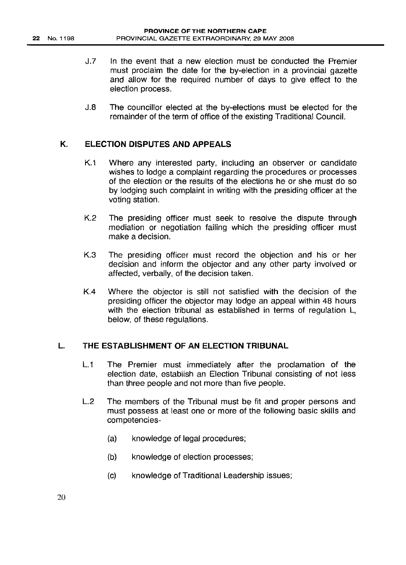- J.7 In the event that a new election must be conducted the Premier must proclaim the date for the by-election in a provincial gazette and allow for the required number of days to give effect to the election process.
- J.8 The councillor elected at the by-elections must be elected for the remainder of the term of office of the existing Traditional Council.

# K. ELECTION DISPUTES AND APPEALS

- K.1 Where any interested party, including an observer or candidate wishes to lodge a complaint regarding the procedures or processes of the election or the results of the elections he or she must do so by lodging such complaint in writing with the presiding officer at the voting station.
- K.2 The presiding officer must seek to resolve the dispute through mediation or negotiation failing which the presiding officer must make a decision.
- K.3 The presiding officer must record the objection and his or her decision and inform the objector and any other party involved or affected, verbally, of the decision taken.
- K.4 Where the objector is still not satisfied with the decision of the presiding officer the objector may lodge an appeal within 48 hours with the election tribunal as established in terms of regulation L, below, of these regulations.

#### L. THE ESTABLISHMENT OF AN ELECTION TRIBUNAL

- L.1 The Premier must immediately after the proclamation of the election date, establish an Election Tribunal consisting of not less than three people and not more than five people.
- L.2 The members of the Tribunal must be fit and proper persons and must possess at least one or more of the following basic skills and competencies-
	- (a) knowledge of legal procedures;
	- (b) knowledge of election processes;
	- (c) knowledge of Traditional Leadership issues;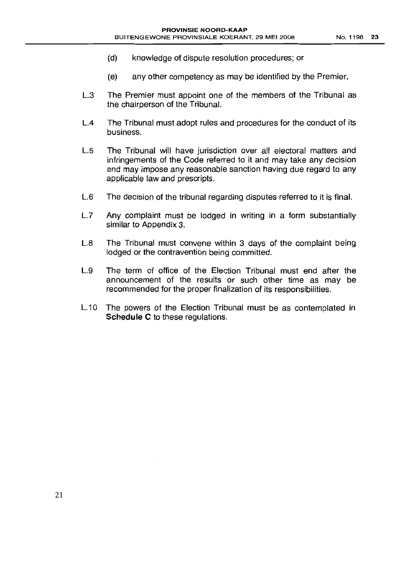- (d) knowledge of dispute resolution procedures; or
- (e) any other competency as may be identified by the Premier.
- L.3 The Premier must appoint one of the members of the Tribunal as the chairperson of the Tribunal.
- L.4 The Tribunal must adopt rules and procedures for the conduct of its business.
- L.5 The Tribunal will have jurisdiction over all electoral matters and infringements of the Code referred to it and may take any decision and may impose any reasonable sanction having due regard to any applicable law and prescripts.
- L.6 The decision of the tribunal regarding disputes referred to it is final.
- L.7 Any complaint must be lodged in writing in a form substantially similar to Appendix 3.
- L.8 The Tribunal must convene within 3 days of the complaint being lodged or the contravention being committed.
- L.g The term of office of the Election Tribunal must end after the announcement of the results or such other time as may be recommended for the proper finalization of its responsibilities.
- L.10 The powers of the Election Tribunal must be as contemplated in **Schedule C** to these regulations.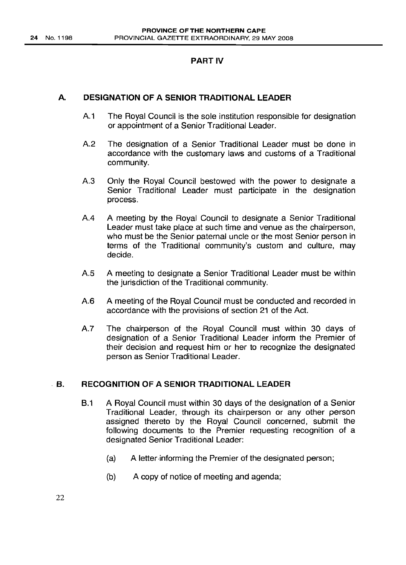# PART IV

# A. DESIGNATION OF A SENIOR TRADITIONAL LEADER

- A.1 The Royal Council is the sole institution responsible for designation or appointment of a Senior Traditional Leader.
- A.2 The designation of a Senior Traditional Leader must be done in accordance with the customary laws and customs of a Traditional community.
- A.3 Only the Royal Council bestowed with the power to designate a Senior Traditional Leader must participate in the designation process.
- A.4 A meeting by the Royal Council to designate a Senior Traditional Leader must take place at such time and venue as the chairperson, who must be the Senior paternal uncle or the most Senior person in terms of the Traditional community's custom and culture, may decide.
- A.5 A meeting to designate a Senior Traditional Leader must be within the jurisdiction of the Traditional community.
- A.6 A meeting of the Royal Council must be conducted and recorded in accordance with the provisions of section 21 of the Act.
- A.7 The chairperson of the Royal Council must within 30 days of designation of a Senior Traditional Leader inform the Premier of their decision and request him or her to recognize the designated person as Senior Traditional Leader.

# . B. RECOGNITION OF A SENIOR TRADITIONAL LEADER

- B.1 A Royal Council must within 30 days of the designation of a Senior Traditional Leader, through its chairperson or any other person assigned thereto by the Royal Council concerned, submit the following documents to the Premier requesting recognition of a designated Senior Traditional Leader:
	- (a) A letter informing the Premier of the designated person;
	- (b) A copy of notice of meeting and agenda;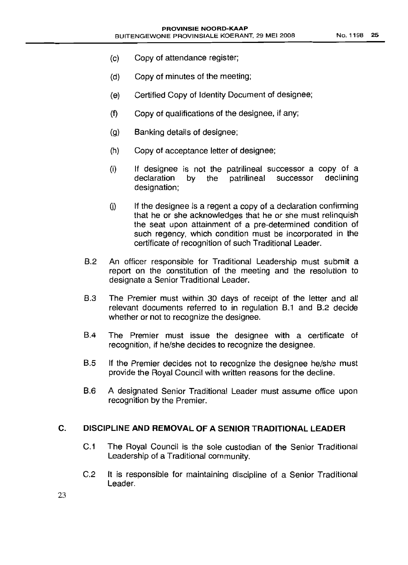- (c) Copy of attendance register;
- (d) Copy of minutes of the meeting;
- (e) Certified Copy of Identity Document of designee;
- (f) Copy of qualifications of the designee, if any;
- (g) Banking details of designee;
- (h) Copy of acceptance letter of designee;
- (i) If designee is not the patrilineal successor a copy of a declaration by the patrilineal successor declining designation;
- $(i)$  If the designee is a regent a copy of a declaration confirming that he or she acknowledges that he or she must relinquish the seat upon attainment of a pre-determined condition of such regency, which condition must be incorporated in the certificate of recognition of such Traditional Leader.
- B.2 An officer responsible for Traditional Leadership must submit a report on the constitution of the meeting and the resolution to designate a Senior Traditional Leader.
- B.3 The Premier must within 30 days of receipt of the letter and all relevant documents referred to in regulation B.1 and 8.2 decide whether or not to recognize the designee.
- B.4 The Premier must issue the designee with a certificate of recognition, if he/she decides to recognize the designee.
- 8.5 If the Premier decides not to recognize the designee he/she must provide the Royal Council with written reasons for the decline.
- B.6 A designated Senior Traditional Leader must assume office upon recognition by the Premier.

#### C. DISCIPLINE AND REMOVAL OF A SENIOR TRADITIONAL LEADER

- C.1 The Royal Council is the sole custodian of the Senior Traditional Leadership of a Traditional community.
- C.2 It is responsible for maintaining discipline of a Senior Traditional Leader.

23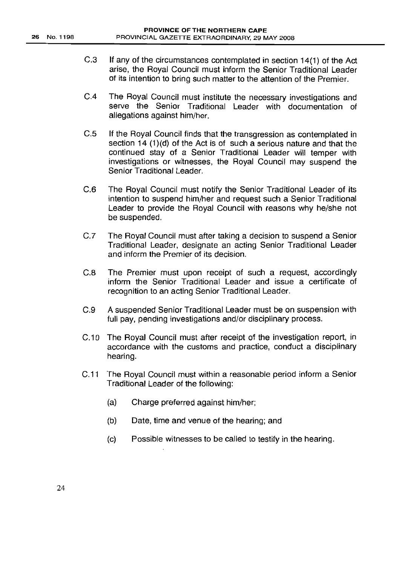- C.3 If any of the circumstances contemplated in section 14(1) of the Act arise, the Royal Council must inform the Senior Traditional Leader of its intention to bring such matter to the attention of the Premier.
- CA The Royal Council must institute the necessary investigations and serve the Senior Traditional Leader with documentation of allegations against him/her.
- C.5 If the Royal Council finds that the transgression as contemplated in section 14  $(1)(d)$  of the Act is of such a serious nature and that the continued stay of a Senior Traditional Leader will temper with investigations or witnesses, the Royal Council may suspend the Senior Traditional Leader.
- C.6 The Royal Council must notify the Senior Traditional Leader of its intention to suspend him/her and request such a Senior Traditional Leader to provide the Royal Council with reasons why he/she not be suspended.
- C.7 The Royal Council must after taking a decision to suspend a Senior Traditional Leader, designate an acting Senior Traditional Leader and inform the Premier of its decision.
- C.S The Premier must upon receipt of such a request, accordingly inform the Senior Traditional Leader and issue a certificate of recognition to an acting Senior Traditional Leader.
- C.g A suspended Senior Traditional Leader must be on suspension with full pay, pending investigations and/or disciplinary process.
- C.10 The Royal Council must after receipt of the investigation report, in accordance with the customs and practice, conduct a disciplinary hearing.
- C.11 The Royal Council must within a reasonable period inform a Senior Traditional Leader of the following:
	- (a) Charge preferred against him/her;
	- (b) Date, time and venue of the hearing; and
	- (c) Possible witnesses to be called to testify in the hearing.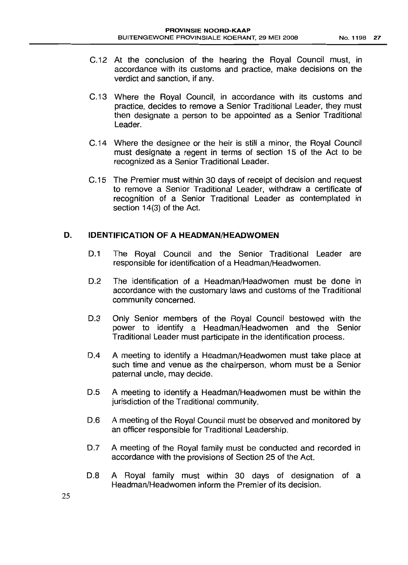- C.12 At the conclusion of the hearing the Royal Council must, in accordance with its customs and practice, make decisions on the verdict and sanction, if any.
- C.13 Where the Royal Council, in accordance with its customs and practice, decides to remove a Senior Traditional Leader, they must then designate a person to be appointed as a Senior Traditional Leader.
- C.14 Where the designee or the heir is still a minor, the Royal Council must designate a regent in terms of section 15 of the Act to be recognized as a Senior Traditional Leader.
- C.15 The Premier must within 30 days of receipt of decision and request to remove a Senior Traditional Leader, withdraw a certificate of recognition of a Senior Traditional Leader as contemplated in section 14(3) of the Act.

# **D. IDENTIFICATION OF A HEADMAN/HEADWOMEN**

- 0.1 The Royal Council and the Senior Traditional Leader are responsible for identification of a Headman/Headwomen.
- 0.2 The identification of a Headman/Headwomen must be done in accordance with the customary laws and customs of the Traditional community concerned.
- D.3 Only Senior members of the Royal Council bestowed with the power to identify a Headman/Headwomen and the Senior Traditional Leader must participate in the identification process.
- 0.4 A meeting to identify a Headman/Headwomen must take place at such time and venue as the chairperson, whom must be a Senior paternal uncle, may decide.
- 0.5 A meeting to identify a Headman/Headwomen must be within the jurisdiction of the Traditional community.
- D.6 A meeting of the Royal Council must be observed and monitored by an officer responsible for Traditional Leadership.
- D.7 A meeting of the Royal family must be conducted and recorded in accordance with the provisions of Section 25 of the Act.
- 0.8 A Royal family must within 30 days of designation of a Headman/Headwomen inform the Premier of its decision.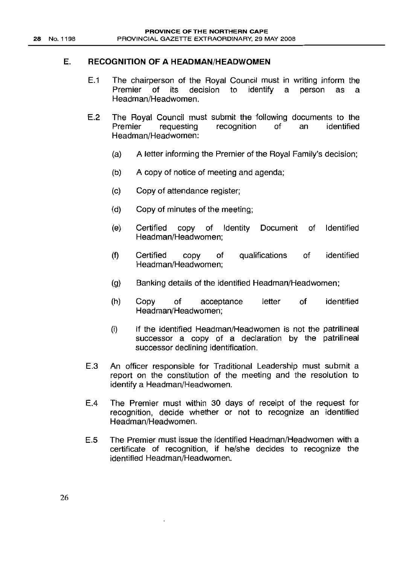#### E. RECOGNITION OF A HEADMAN/HEADWOMEN

- E.1 The chairperson of the Royal Council must in writing inform the Premier of its decision to identify a person as a Headman/Headwomen.
- E.2 The Royal Council must submit the following documents to the Premier requesting recognition of an identified Headman/Headwomen:
	- (a) A letter informing the Premier of the Royal Family's decision;
	- (b) A copy of notice of meeting and agenda;
	- (c) Copy of attendance register;
	- (d) Copy of minutes of the meeting;
	- (e) Certified copy of Identity Document of Identified Headman/Headwomen;
	- (f) Certified copy of Headman/Headwomen; qualifications of identified
	- (g) Banking details of the identified Headman/Headwomen;
	- (h) Copy of acceptance Headman/Headwomen; letter of identified
	- (i) If the identified Headman/Headwomen is not the patrilineal successor a copy of a declaration by the patrilineal successor declining identification.
- E.3 An officer responsible for Traditional Leadership must submit a report on the constitution of the meeting and the resolution to identify a Headman/Headwomen.
- E.4 The Premier must within 30 days of receipt of the request for recognition, decide whether or not to recognize an identified Headman/Headwomen.
- E.5 The Premier must issue the identified Headman/Headwomen with a certificate of recognition, if he/she decides to recognize the identified Headman/Headwomen.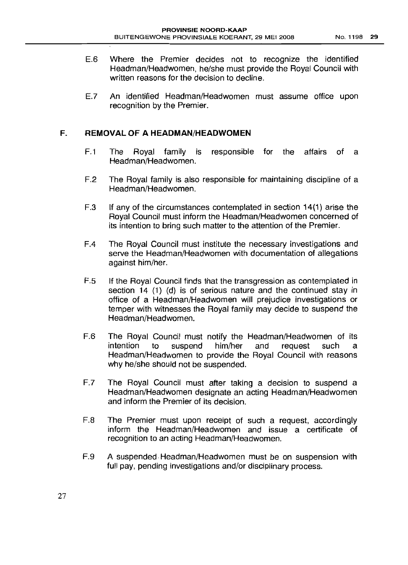- E.6 Where the Premier decides not to recognize the identified Headman/Headwomen, he/she must provide the Royal Council with written reasons for the decision to decline.
- E.7 An identified Headman/Headwomen must assume office upon recognition by the Premier.

# **F. REMOVAL OF A HEADMAN/HEADWOMEN**

- F.1 The Royal family is responsible for the affairs of a Headman/Headwomen.
- F.2 The Royal family is also responsible for maintaining discipline of a Headman/Headwomen.
- F.3 If any of the circumstances contemplated in section 14(1) arise the Royal Council must inform the Headman/Headwomen concerned of its intention to bring such matter to the attention of the Premier.
- FA The Royal Council must institute the necessary investigations and serve the Headman/Headwomen with documentation of allegations against him/her.
- F.5 If the Royal Council finds that the transgression as contemplated in section 14 (1) (d) is of serious nature and the continued stay in office of a Headman/Headwomen will prejudice investigations or temper with witnesses the Royal family may decide to suspend the Headman/Headwomen.
- F.6 The Royal Council must notify the Headman/Headwomen of its intention to suspend him/her and request such a Headman/Headwomen to provide the Royal Council with reasons why he/she should not be suspended.
- F.7 The Royal Council must after taking a decision to suspend a Headman/Headwomen designate an acting Headman/Headwomen and inform the Premier of its decision.
- F.8 The Premier must upon receipt of such a request, accordingly inform the Headman/Headwomen and issue a certificate of recognition to an acting Headman/Headwomen.
- F.g A suspended Headman/Headwomen must be on suspension with full pay, pending investigations and/or disciplinary process.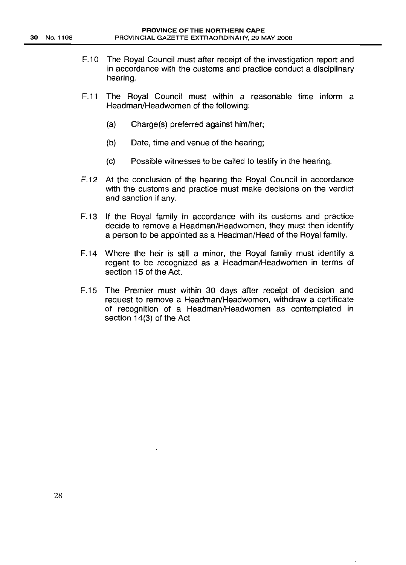- F.10 The Royal Council must after receipt of the investigation report and in accordance with the customs and practice conduct a disciplinary hearing.
- F.11 The Royal Council must within a reasonable time inform a Headman/Headwomen of the following:
	- (a) Charge(s) preferred against him/her;
	- (b) Date, time and venue of the hearing;
	- (c) Possible witnesses to be called to testify in the hearing.
- F.12 At the conclusion of the hearing the Royal Council in accordance with the customs and practice must make decisions on the verdict and sanction if any.
- F.13 If the Royal family in accordance with its customs and practice decide to remove a Headman/Headwomen, they must then identify a person to be appointed as a Headman/Head of the Royal family.
- F.14 Where the heir is still a minor, the Royal family must identify a regent to be recognized as a Headman/Headwomen in terms of section 15 of the Act.
- F.15 The Premier must within 30 days after receipt of decision and request to remove a Headman/Headwomen, withdraw a certificate of recognition of a Headman/Headwomen as contemplated in section 14(3) of the Act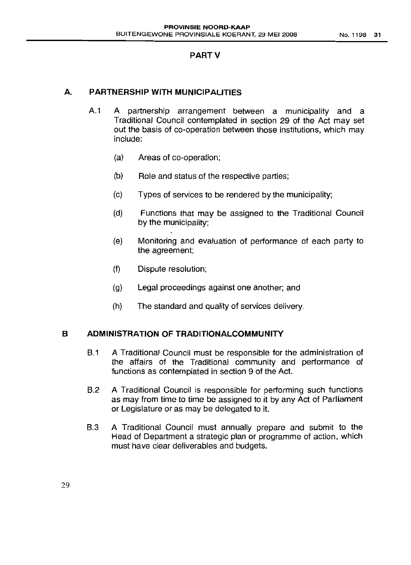# PART V

# A. **PARTNERSHIP WITH MUNICIPALITIES**

- A.1 A partnership arrangement between a municipality and a Traditional Council contemplated in section 29 of the Act may set out the basis of co-operation between those institutions, which may include:
	- (a) Areas of co-operation;
	- (b) Role and status of the respective parties;
	- (c) Types of services to be rendered by the municipality;
	- (d) Functions that may be assigned to the Traditional Council by the municipality;
	- (e) Monitoring and evaluation of performance of each party to the agreement;
	- (f) Dispute resolution;
	- (g) Legal proceedings against one another; and
	- (h) The standard and quality of services delivery.

# **B ADMINISTRATION OF TRADITIONALCOMMUNITY**

- B.1 A Traditional Council must be responsible for the administration of the affairs of the Traditional community and performance of functions as contemplated in section 9 of the Act.
- B.2 A Traditional Council is responsible for performing such functions as may from time to time be assigned to it by any Act of Parliament or Legislature or as may be delegated to it.
- B.3 A Traditional Council must annually prepare and submit to the Head of Department a strategic plan or programme of action, which must have clear deliverables and budgets.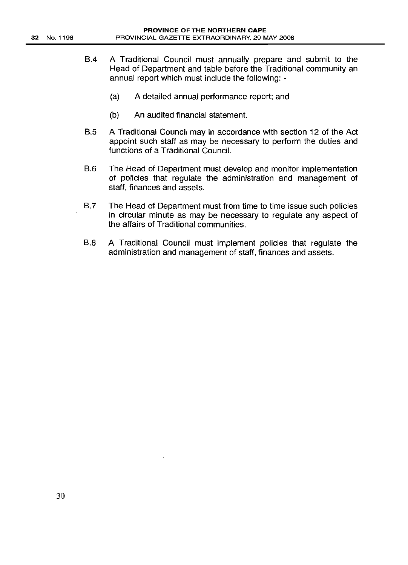- 8.4 A Traditional Council must annually prepare and submit to the Head of Department and table before the Traditional community an annual report which must include the following: -
	- (a) A detailed annual performance report; and
	- (b) An audited financial statement.
- 8.5 A Traditional Council may in accordance with section 12 of the Act appoint such staff as may be necessary to perform the duties and functions of a Traditional Council.
- 8.6 The Head of Department must develop and monitor implementation of policies that regulate the administration and management of staff, finances and assets.
- 8.7 The Head of Department must from time to time issue such policies in circular minute as may be necessary to regulate any aspect of the affairs of Traditional communities.
- 8.8 A Traditional Council must implement policies that regulate the administration and management of staff, finances and assets.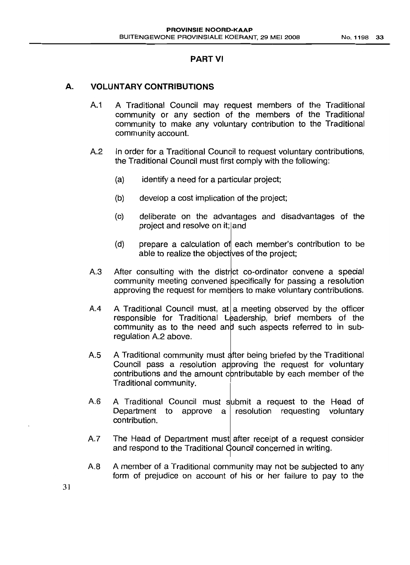#### PART VI

#### **A. VOLUNTARY CONTRIBUTIONS**

- A.1 A Traditional Council may request members of the Traditional community or any section of the members of the Traditional community to make any voluntary contribution to the Traditional community account.
- A.2 In order for a Traditional Council to request voluntary contributions, the Traditional Council must first comply with the following:
	- (a) identify a need for a particular project;
	- (b) develop a cost implication of the project;
	- (c) deliberate on the advantages and disadvantages of the project and resolve on it; and
	- (d) prepare a calculation of each member's contribution to be able to realize the objectives of the project;
- A.3 After consulting with the district co-ordinator convene a special community meeting convened specifically for passing a resolution approving the request for members to make voluntary contributions.
- A.4 A Traditional Council must, at a meeting observed by the officer responsible for Traditional Leadership, brief members of the community as to the need and such aspects referred to in subregulation A.2 above.
- A.5 A Traditional community must after being briefed by the Traditional Council pass a resolution approving the request for voluntary contributions and the amount contributable by each member of the Traditional community.
- A.6 A Traditional Council must submit a request to the Head of Department to approve a resolution requesting voluntary contribution.
- A.7 The Head of Department must after receipt of a request consider and respond to the Traditional Council concerned in writing.
- A.8 A member of a Traditional community may not be subjected to any form of prejudice on account of his or her failure to pay to the

31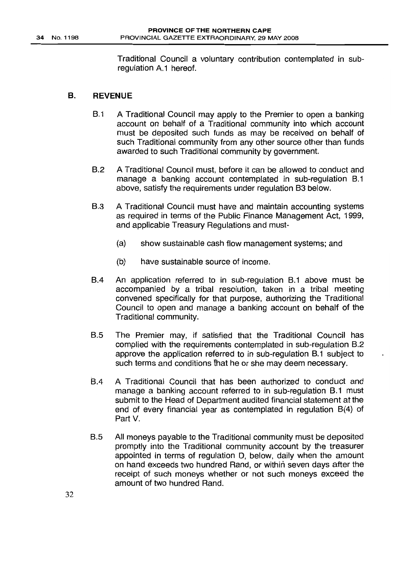Traditional Council a voluntary contribution contemplated in subregulation A.1 hereof.

#### B. REVENUE

- B.1 A Traditional Council may apply to the Premier to open a banking account on behalf of a Traditional community into which account must be deposited such funds as may be received on behalf of such Traditional community from any other source other than funds awarded to such Traditional community by government.
- B.2 A Traditional Council must, before it can be allowed to conduct and manage a banking account contemplated in sub-regulation B.1 above, satisfy the requirements under regulation B3 below.
- B.3 A Traditional Council must have and maintain accounting systems as required in terms of the Public Finance Management Act, 1999, and applicable Treasury Regulations and must-
	- (a) show sustainable cash flow management systems; and
	- (b) have sustainable source of income.
- B.4 An application referred to in sub-regulation B.1 above must be accompanied by a tribal resolution, taken in a tribal meeting convened specifically for that purpose, authorizing the Traditional Council to open and manage a banking account on behalf of the Traditional community.
- B.5 The Premier may, if satisfied that the Traditional Council has complied with the requirements contemplated in sub-regulation B.2 approve the application referred to in sub-regulation B.1 subject to such terms and conditions fhat he or she may deem necessary.
- 8.4 A Traditional Council that has been authorized to conduct and manage a banking account referred to in sub-regulation B.1 must submit to the Head of Department audited financial statement at the end of every financial year as contemplated in regulation B(4) of Part V.
- B.5 All moneys payable to the Traditional community must be deposited promptly into the Traditional community account by the treasurer appointed in terms of regulation D, below, daily when the amount on hand exceeds two hundred Rand, or within seven days after the receipt of such moneys whether or not such moneys exceed the amount of two hundred Rand.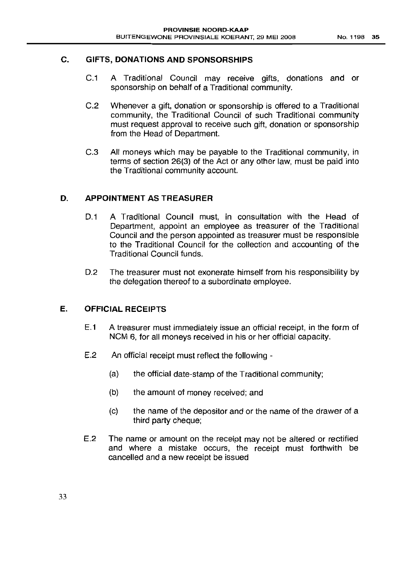# C. GIFTS, DONATIONS AND SPONSORSHIPS

- C.1 A Traditional Council may receive gifts, donations and or sponsorship on behalf of a Traditional community.
- C.2 Whenever a gift, donation or sponsorship is offered to a Traditional community, the Traditional Council of such Traditional community must request approval to receive such gift, donation or sponsorship from the Head of Department.
- C.3 All moneys which may be payable to the Traditional community, in terms of section 26(3) of the Act or any other law, must be paid into the Traditional community account.

# D. APPOINTMENT AS TREASURER

- D.1 A Traditional Council must, in consultation with the Head of Department, appoint an employee as treasurer of the Traditional Council and the person appointed as treasurer must be responsible to the Traditional Council for the collection and accounting of the Traditional Council funds.
- D.2 The treasurer must not exonerate himself from his responsibility by the delegation thereof to a subordinate employee.

# E. OFFICIAL RECEIPTS

- E.1 A treasurer must immediately issue an official receipt, in the form of NCM 6, for all moneys received in his or her official capacity.
- E.2 An official receipt must reflect the following
	- (a) the official date-stamp of the Traditional community;
	- (b) the amount of money received; and
	- (c) the name of the depositor and or the name of the drawer of a third party cheque;
- E.2 The name or amount on the receipt may not be altered or rectified and where a mistake occurs, the receipt must forthwith be cancelled and a new receipt be issued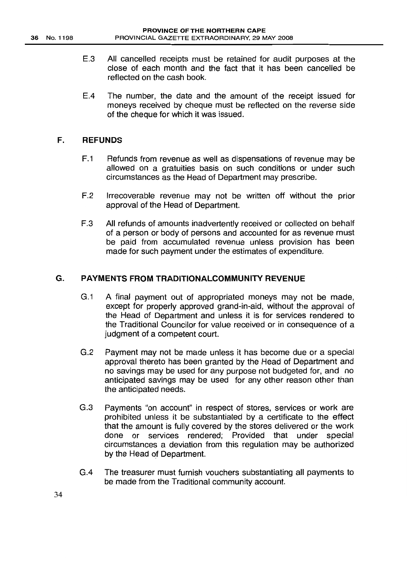- E.3 All cancelled receipts must be retained for audit purposes at the close of each month and the fact that it has been cancelled be reflected on the cash book.
- E.4 The number, the date and the amount of the receipt issued for moneys received by cheque must be reflected on the reverse side of the cheque for which it was issued.

### **F. REFUNDS**

- F.1 Refunds from revenue as well as dispensations of revenue may be allowed on a gratuities basis on such conditions or under such circumstances as the Head of Department may prescribe.
- F.2 Irrecoverable revenue may not be written off without the prior approval of the Head of Department.
- F.3 All refunds of amounts inadvertently received or collected on behalf of a person or body of persons and accounted for as revenue must be paid from accumulated revenue unless provision has been made for such payment under the estimates of expenditure.

# **G. PAYMENTS FROM TRADITIONALCOMMUNITY REVENUE**

- G.1 A final payment out of appropriated moneys may not be made, except for properly approved grand-in-aid, without the approval of the Head of Department and unless it is for services rendered to the Traditional Councilor for value received or in consequence of a judgment of a competent court.
- G.2 Payment may not be made unless it has become due or a special approval thereto has been granted by the Head of Department and no savings may be used for any purpose not budgeted for, and no anticipated savings may be used for any other reason other than the anticipated needs.
- G.3 Payments "on account" in respect of stores, services or work are prohibited unless it be substantiated by a certificate to the effect that the amount is fully covered by the stores delivered or the work done or services rendered; Provided that under special circumstances a deviation from this regulation may be authorized by the Head of Department.
- G.4 The treasurer must furnish vouchers substantiating all payments to be made from the Traditional community account.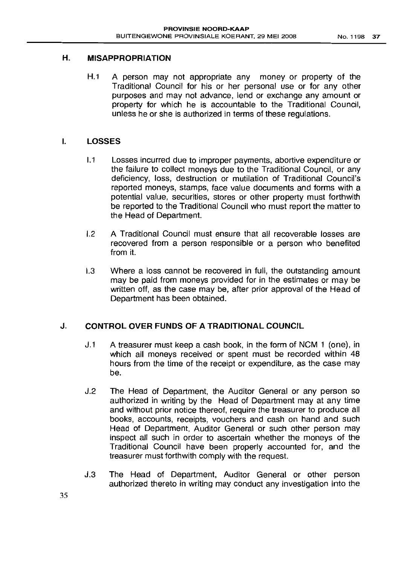# H. MISAPPROPRIATION

H.1 A person may not appropriate any money or property of the Traditional Council for his or her personal use or for any other purposes and may not advance, lend or exchange any amount or property for which he is accountable to the Traditional Council, unless he or she is authorized in terms of these regulations.

# I. LOSSES

- 1.1 Losses incurred due to improper payments, abortive expenditure or the failure to collect moneys due to the Traditional Council, or any deficiency, loss, destruction or mutilation of Traditional Council's reported moneys, stamps, face value documents and forms with a potential value, securities, stores or other property must forthwith be reported to the Traditional Council who must report the matter to the Head of Department.
- 1.2 A Traditional Council must ensure that all recoverable losses are recovered from a person responsible or a person who benefited from it.
- 1.3 Where a loss cannot be recovered in full, the outstanding amount may be paid from moneys provided for in the estimates or may be written off, as the case may be, after prior approval of the Head of Department has been obtained.

# J. CONTROL OVER FUNDS OF A TRADITIONAL COUNCIL

- J.1 A treasurer must keep a cash book, in the form of NCM 1 (one), in which all moneys received or spent must be recorded within 48 hours from the time of the receipt or expenditure, as the case may be.
- J.2 The Head of Department, the Auditor General or any person so authorized in writing by the Head of Department may at any time and without prior notice thereof, require the treasurer to produce all books, accounts, receipts, vouchers and cash on hand and such Head of Department, Auditor General or such other person may inspect all such in order to ascertain whether the moneys of the Traditional Council have been properly accounted for, and the treasurer must forthwith comply with the request.
- J.3 The Head of Department, Auditor General or other person authorized thereto in writing may conduct any investigation into the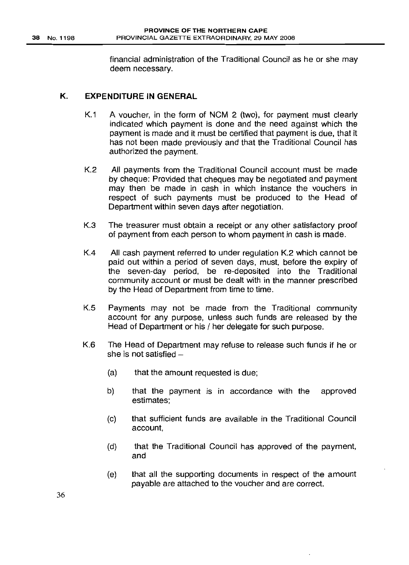financial administration of the Traditional Council as he or she may deem necessary.

# K. **EXPENDITURE IN GENERAL**

- K.1 A voucher, in the form of NCM 2 (two), for payment must clearly indicated which payment is done and the need against which the payment is made and it must be certified that payment is due, that it has not been made previously and that the Traditional Council has authorized the payment.
- K.2 All payments from the Traditional Council account must be made by cheque: Provided that cheques may be negotiated and payment may then be made in cash in which instance the vouchers in respect of such payments must be produced to the Head of Department within seven days after negotiation.
- K.3 The treasurer must obtain a receipt or any other satisfactory proof of payment from each person to whom payment in cash is made.
- K.4 All cash payment referred to under regulation K.2 which cannot be paid out within a period of seven days, must, before the expiry of the seven-day period, be re-deposited into the Traditional community account or must be dealt with in the manner prescribed by the Head of Department from time to time.
- K.5 Payments may not be made from the Traditional community account for any purpose, unless such funds are released by the Head of Department or his / her delegate for such purpose.
- K.6 The Head of Department may refuse to release such funds if he or she is not satisfied  $-$ 
	- (a) that the amount requested is due;
	- b) that the payment is in accordance with the approved estimates;
	- (c) that sufficient funds are available in the Traditional Council account,
	- (d) that the Traditional Council has approved of the payment, and
	- (e) that all the supporting documents in respect of the amount payable are attached to the voucher and are correct.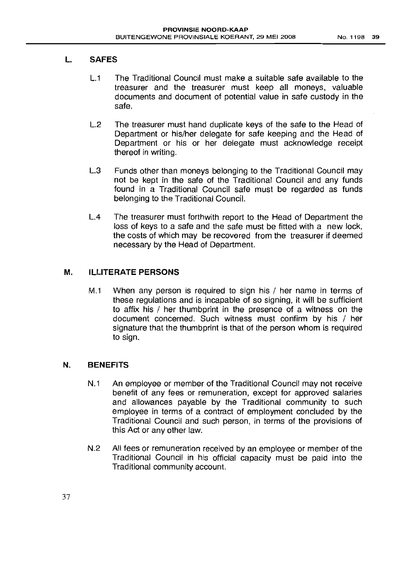# L. SAFES

- L.1 The Traditional Council must make a suitable safe available to the treasurer and the treasurer must keep all moneys, valuable documents and document of potential value in safe custody in the safe.
- L.2 The treasurer must hand duplicate keys of the safe to the Head of Department or his/her delegate for safe keeping and the Head of Department or his or her delegate must acknowledge receipt thereof in writing.
- L.3 Funds other than moneys belonging to the Traditional Council may not be kept in the safe of the Traditional Council and any funds found in a Traditional Council safe must be regarded as funds belonging to the Traditional Council.
- LA The treasurer must forthwith report to the Head of Department the loss of keys to a safe and the safe must be fitted with a new lock, the costs of which may be recovered from the treasurer if deemed necessary by the Head of Department.

# M. ILLITERATE PERSONS

M.1 When any person is required to sign his / her name in terms of these regulations and is incapable of so signing, it will be sufficient to affix his / her thumbprint in the presence of a witness on the document concerned. Such witness must confirm by his / her signature that the thumbprint is that of the person whom is required to sign.

# N. BENEFITS

- N.1 An employee or member of the Traditional Council may not receive benefit of any fees or remuneration, except for approved salaries and allowances payable by the Traditional community to such employee in terms of a contract of employment concluded by the Traditional Council and such person, in terms of the provisions of this Act or any other law.
- N.2 All fees or remuneration received by an employee or member of the Traditional Council in his official capacity must be paid into the Traditional community account.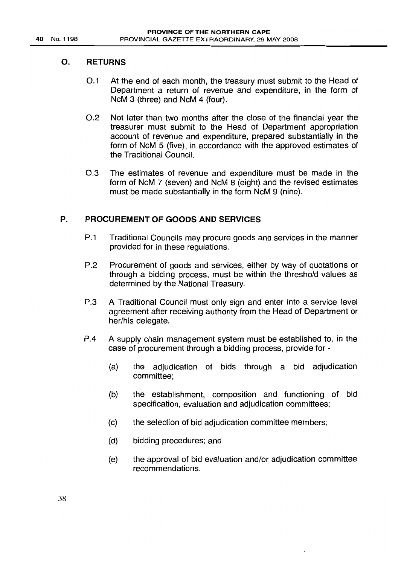# O. RETURNS

- 0.1 At the end of each month, the treasury must submit to the Head of Department a return of revenue and expenditure, in the form of NcM 3 (three) and NcM 4 (four).
- 0.2 Not later than two months after the close of the financial year the treasurer must submit to the Head of Department appropriation account of revenue and expenditure, prepared substantially in the form of NcM 5 (five), in accordance with the approved estimates of the Traditional Council.
- 0.3 The estimates of revenue and expenditure must be made in the form of NcM 7 (seven) and NcM 8 (eight) and the revised estimates must be made substantially in the form NcM 9 (nine).

# P. PROCUREMENT OF GOODS AND SERVICES

- P.1 Traditional Councils may procure goods and services in the manner provided for in these regulations.
- P.2 Procurement of goods and services, either by way of quotations or through a bidding process, must be within the threshold values as determined by the National Treasury.
- P.3 A Traditional Council must only sign and enter into a service level agreement after receiving authority from the Head of Department or her/his delegate.
- P.4 A supply chain management system must be established to, in the case of procurement through a bidding process, provide for -
	- (a) the adjudication of bids through a bid adjudication committee;
	- (b) the establishment, composition and functioning of bid specification, evaluation and adjudication committees;
	- (c) the selection of bid adjudication committee members;
	- (d) bidding procedures; and
	- (e) the approval of bid evaluation and/or adjudication committee recommendations.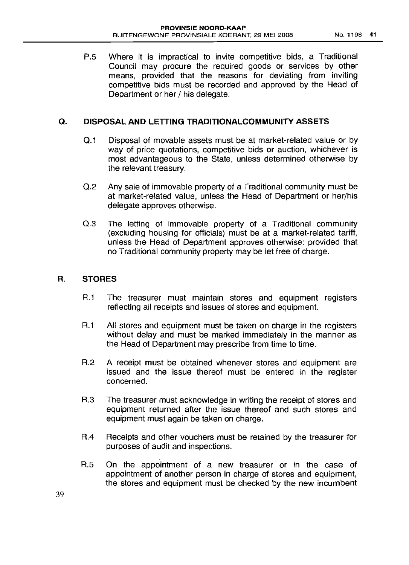P.5 Where it is impractical to invite competitive bids, a Traditional Council may procure the required goods or services by other means, provided that the reasons for deviating from inviting competitive bids must be recorded and approved by the Head of Department or her / his delegate.

### Q. **DISPOSAL AND LETTING TRADITIONALCOMMUNITY ASSETS**

- 0.1 Disposal of movable assets must be at market-related value or by way of price quotations, competitive bids or auction, whichever is most advantageous to the State, unless determined otherwise by the relevant treasury.
- 0.2 Any sale of immovable property of a Traditional community must be at market-related value, unless the Head of Department or her/his delegate approves otherwise.
- 0.3 The letting of immovable property of a Traditional community (excluding housing for officials) must be at a market-related tariff, unless the Head of Department approves otherwise: provided that no Traditional community property may be let free of charge.

### **R. STORES**

- R.1 The treasurer must maintain stores and equipment registers reflecting all receipts and issues of stores and equipment.
- R.1 All stores and equipment must be taken on charge in the registers without delay and must be marked immediately in the manner as the Head of Department may prescribe from time to time.
- R.2 A receipt must be obtained whenever stores and equipment are issued and the issue thereof must be entered in the register concerned.
- R.3 The treasurer must acknowledge in writing the receipt of stores and equipment returned after the issue thereof and such stores and equipment must again be taken on charge.
- R.4 Receipts and other vouchers must be retained by the treasurer for purposes of audit and inspections.
- R.5 On the appointment of a new treasurer or in the case of appointment of another person in charge of stores and equipment, the stores and equipment must be checked by the new incumbent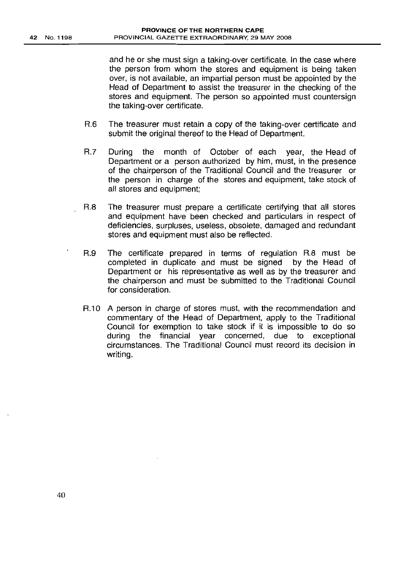and he or she must sign a taking-over certificate. In the case where the person from whom the stores and equipment is being taken over, is not available, an impartial person must be appointed by the Head of Department to assist the treasurer in the checking of the stores and equipment. The person so appointed must countersign the taking-over certificate.

- R.6 The treasurer must retain a copy of the taking-over certificate and submit the original thereof to the Head of Department.
- R.7 During the month of October of each year, the Head of Department or a person authorized by him, must, in the presence of the chairperson of the Traditional Council and the treasurer or the person in charge of the stores and equipment, take stock of all stores and equipment;
- R.8 The treasurer must prepare a certificate certifying that all stores and equipment have been checked and particulars in respect of deficiencies, surpluses, useless, obsolete, damaged and redundant stores and equipment must also be reflected.
- R.9 The certificate prepared in terms of regulation R.8 must be completed in duplicate and must be signed by the Head of Department or his representative as well as by the treasurer and the chairperson and must be submitted to the Traditional Council for consideration.
- R.10 A person in charge of stores must, with the recommendation and commentary of the Head of Department, apply to the Traditional Council for exemption to take stock if it is impossible to do so during the financial year concerned, due to exceptional circumstances. The Traditional Council must record its decision in writing.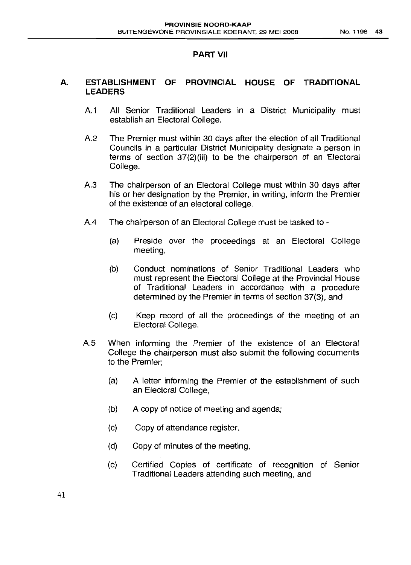# **PART VII**

# A. **ESTABLISHMENT OF PROVINCIAL HOUSE OF TRADITIONAL LEADERS**

- A.1 All Senior Traditional Leaders in a District Municipality must establish an Electoral College.
- A.2 The Premier must within 30 days after the election of all Traditional Councils in a particular District Municipality designate a person in terms of section 37(2)(iii) to be the chairperson of an Electoral College.
- A.3 The chairperson of an Electoral College must within 30 days after his or her designation by the Premier, in writing, inform the Premier of the existence of an electoral college.
- A.4 The chairperson of an Electoral College must be tasked to
	- (a) Preside over the proceedings at an Electoral College meeting,
	- (b) Conduct nominations of Senior Traditional Leaders who must represent the Electoral College at the Provincial House of Traditional Leaders in accordance with a procedure determined by the Premier in terms of section 37(3), and
	- (c) Keep record of all the proceedings of the meeting of an Electoral College.
- A.5 When informing the Premier of the existence of an Electoral College the chairperson must also submit the following documents to the Premier;
	- (a) A letter informing the Premier of the establishment of such an Electoral College,
	- (b) A copy of notice of meeting and agenda;
	- (c) Copy of attendance register,
	- (d) Copy of minutes of the meeting,
	- (e) Certified Copies of certificate of recognition of Senior Traditional Leaders attending such meeting, and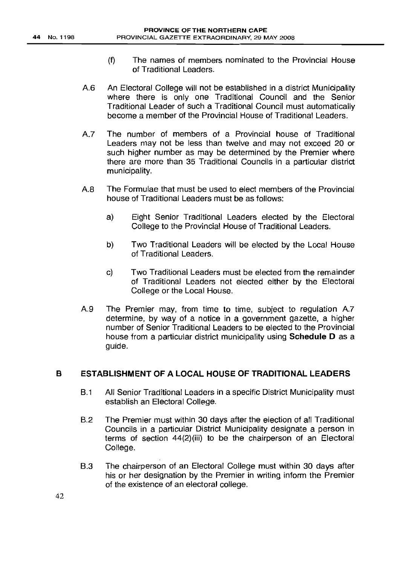- (f) The names of members nominated to the Provincial House of Traditional Leaders.
- A6 An Electoral College will not be established in a district Municipality where there is only one Traditional Council and the Senior Traditional Leader of such a Traditional Council must automatically become a member of the Provincial House of Traditional Leaders.
- A.7 The number of members of a Provincial house of Traditional Leaders may not be less than twelve and may not exceed 20 or such higher number as may be determined by the Premier where there are more than 35 Traditional Councils in a particular district municipality.
- A8 The Formulae that must be used to elect members of the Provincial house of Traditional Leaders must be as follows:
	- a) Eight Senior Traditional Leaders elected by the Electoral College to the Provincial House of Traditional Leaders.
	- b) Two Traditional Leaders will be elected by the Local House of Traditional Leaders.
	- c) Two Traditional Leaders must be elected from the remainder of Traditional Leaders not elected either by the Electoral College or the Local House.
- A.9 The Premier may, from time to time, subject to regulation A.7 determine, by way of a notice in a government gazette, a higher number of Senior Traditional Leaders to be elected to the Provincial house from a particular district municipality using **Schedule D** as a guide.

# **B ESTABLISHMENT OF A LOCAL HOUSE OF TRADITIONAL LEADERS**

- 8.1 All Senior Traditional Leaders in a specific District Municipality must establish an Electoral College.
- 8.2 The Premier must within 30 days after the election of all Traditional Councils in a particular District Municipality designate a person in terms of section 44(2)(iii) to be the chairperson of an Electoral College.
- 8.3 The chairperson of an Electoral College must within 30 days after his or her designation by the Premier in writing inform the Premier of the existence of an electoral college.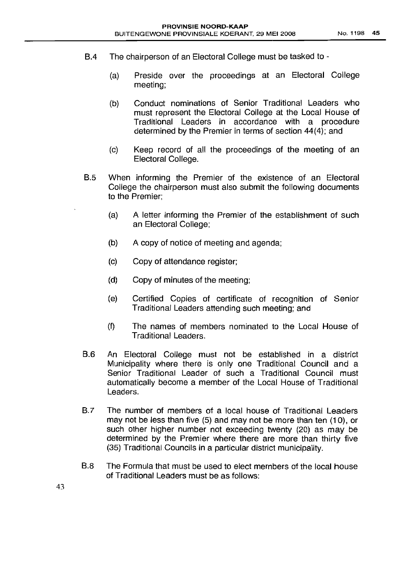- B.4 The chairperson of an Electoral College must be tasked to
	- (a) Preside over the proceedings at an Electoral College meeting;
	- (b) Conduct nominations of Senior Traditional Leaders who must represent the Electoral College at the Local House of Traditional Leaders in accordance with a procedure determined by the Premier in terms of section 44(4); and
	- (c) Keep record of all the proceedings of the meeting of an Electoral College.
- B.5 When informing the Premier of the existence of an Electoral College the chairperson must also submit the following documents to the Premier;
	- (a) A letter informing the Premier of the establishment of such an Electoral College;
	- (b) A copy of notice of meeting and agenda;
	- (c) Copy of attendance register;
	- (d) Copy of minutes of the meeting;
	- (e) Certified Copies of certificate of recognition of Senior Traditional Leaders attending such meeting; and
	- (f) The names of members nominated to the Local House of Traditional Leaders.
- B.6 An Electoral College must not be established in a district Municipality where there is only one Traditional Council and a Senior Traditional Leader of such a Traditional Council must automatically become a member of the Local House of Traditional Leaders.
- B.7 The number of members of a local house of Traditional Leaders may not be less than five (5) and may not be more than ten (10), or such other higher number not exceeding twenty (20) as may be determined by the Premier where there are more than thirty five (35) Traditional. Councils in a particular district municipality.
- B.8 The Formula that must be used to elect members of the local house of Traditional Leaders must be as follows:

43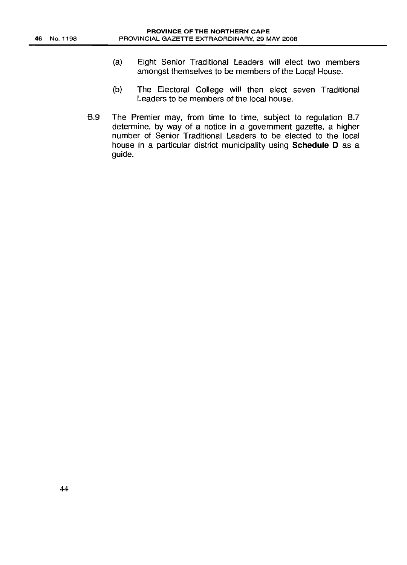- (a) Eight Senior Traditional Leaders will elect two members amongst themselves to be members of the Local House.
- (b) The Electoral College will then elect seven Traditional Leaders to be members of the local house.
- B.9 The Premier may, from time to time, subject to regulation B.7 determine, by way of a notice in a government gazette, a higher number of Senior Traditional Leaders to be elected to the local house in a particular district municipality using Schedule D as a guide.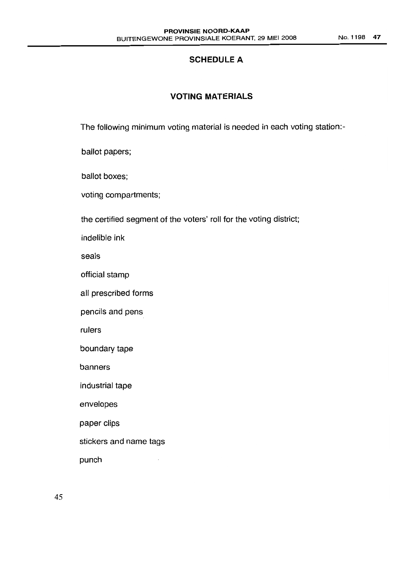No.1198 47

# **SCHEDULE A**

# **VOTING MATERIALS**

The following minimum voting material is needed in each voting station:-

ballot papers;

ballot boxes;

voting compartments;

the certified segment of the voters' roll for the voting district;

indelible ink

seals

official stamp

all prescribed forms

pencils and pens

rulers

boundary tape

banners

industrial tape

envelopes

paper clips

stickers and name tags

punch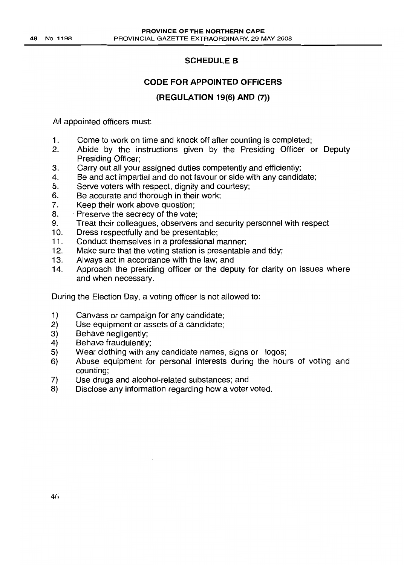# SCHEDULE B

# CODE FOR APPOINTED OFFICERS

# (REGULATION 19(6) AND (7»

All appointed officers must:

- 1. Come to work on time and knock off after counting is completed;
- 2. Abide by the instructions given by the Presiding Officer or Deputy Presiding Officer;
- 3. Carry out all your assigned duties competently and efficiently;
- 4. Be and act impartial and do not favour or side with any candidate;
- 5. Serve voters with respect, dignity and courtesy;
- 6. Be accurate and thorough in their work;
- 7. Keep their work above question;
- 8. Preserve the secrecy of the vote;
- 9. Treat their colleagues, observers and security personnel with respect
- 10. Dress respectfully and be presentable;
- 11. Conduct themselves in a professional manner;
- 12. Make sure that the voting station is presentable and tidy;
- 13. Always act in accordance with the law; and
- 14. Approach the presiding officer or the deputy for clarity on issues where and when necessary.

During the Election Day, a voting officer is not allowed to:

- 1) Canvass or campaign for any candidate;
- 2) Use equipment or assets of a candidate;
- 3) Behave negligently;
- 4) Behave fraudulently;
- 5) Wear clothing with any candidate names, signs or logos;
- 6) Abuse equipment for personal interests during the hours of voting and counting;
- 7) Use drugs and alcohol-related substances; and
- 8) Disclose any information regarding how a voter voted.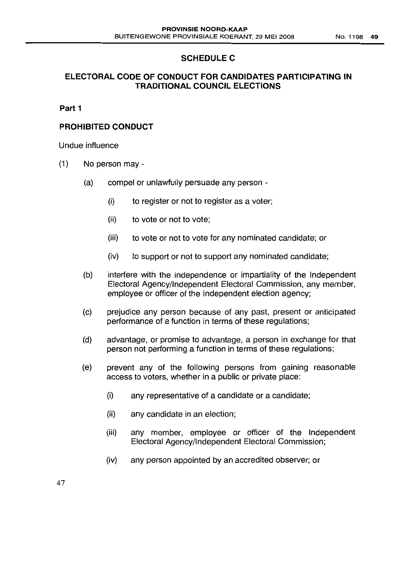# **SCHEDULE C**

# **ELECTORAL CODE OF CONDUCT FOR CANDIDATES PARTICIPATING IN TRADITIONAL COUNCIL ELECTIONS**

# **Part 1**

# **PROHIBITED CONDUCT**

Undue influence

- (1) No person may
	- (a) compel or unlawfully persuade any person
		- (i) to register or not to register as a voter;
		- (ii) to vote or not to vote;
		- (iii) to vote or not to vote for any nominated candidate; or
		- (iv) to support or not to support any nominated candidate;
	- (b) interfere with the independence or impartiality of the Independent Electoral Agency/Independent Electoral Commission, any member, employee or officer of the Independent election agency;
	- (c) prejudice any person because of any past, present or anticipated performance of a function in terms of these regulations;
	- (d) advantage, or promise to advantage, a person in exchange for that person not performing a function in terms of these regulations;
	- (e) prevent any of the following persons from gaining reasonable access to voters, whether in a public or private place:
		- (i) any representative of a candidate or a candidate;
		- (ii) any candidate in an election;
		- (iii) any member, employee or officer of the Independent Electoral Agency/Independent Electoral Commission;
		- (iv) any person appointed by an accredited observer; or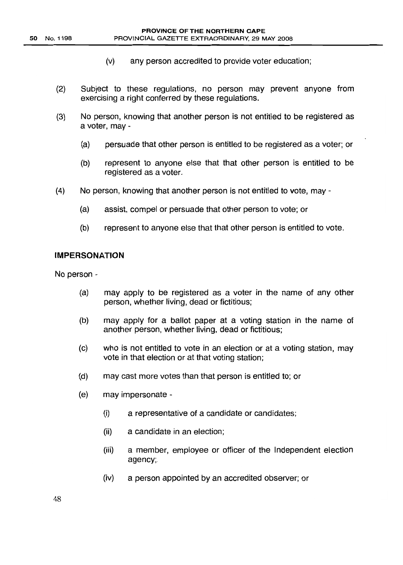- (V) any person accredited to provide voter education;
- (2) Subject to these regulations, no person may prevent anyone from exercising a right conferred by these regulations.
- (3) No person, knowing that another person is not entitled to be registered as a voter, may -
	- (a) persuade that other person is entitled to be registered as a voter; or
	- (b) represent to anyone else that that other person is entitled to be registered as a voter.
- (4) No person, knowing that another person is not entitled to vote, may
	- (a) assist, compel or persuade that other person to vote; or
	- (b) represent to anyone else that that other person is entitled to vote.

#### IMPERSONATION

No person -

- (a) may apply to be registered as a voter in the name of any other person, whether living, dead or fictitious;
- (b) may apply for a ballot paper at a voting station in the name of another person, whether living, dead or fictitious;
- (c) who is not entitled to vote in an election or at a voting station, may vote in that election or at that voting station;
- (d) may cast more votes than that person is entitled to; or
- (e) may impersonate
	- (i) a representative of a candidate or candidates;
	- (ii) a candidate in an election;
	- (iii) a member, employee or officer of the Independent election agency;.
	- (iv) a person appointed by an accredited observer; or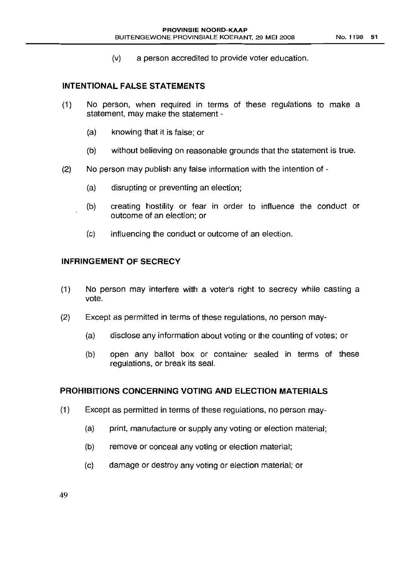(v) a person accredited to provide voter education.

# **INTENTIONAL FALSE STATEMENTS**

- (1) No person, when required in terms of these regulations to make a statement, may make the statement -
	- (a) knowing that it is false; or
	- (b) without believing on reasonable grounds that the statement is true.
- (2) No person may publish any false information with the intention of
	- (a) disrupting or preventing an election;
	- (b) creating hostility or fear in order to influence the conduct or outcome of an election; or
	- (c) influencing the conduct or outcome of an election.

#### **INFRINGEMENT OF SECRECY**

- (1) No person may interfere with a voter's right to secrecy while casting a vote.
- (2) Except as permitted in terms of these regulations, no person may-
	- (a) disclose any information about voting or the counting of votes; or
	- (b) open any ballot box or container sealed in terms of these regulations, or break its seal.

# **PROHIBITIONS CONCERNING VOTING AND ELECTION MATERIALS**

- (1) Except as permitted in terms of these regulations, no person may-
	- (a) print, manufacture or supply any voting or election material;
	- (b) remove or conceal any voting or election material;
	- (c) damage or destroy any voting or election material; or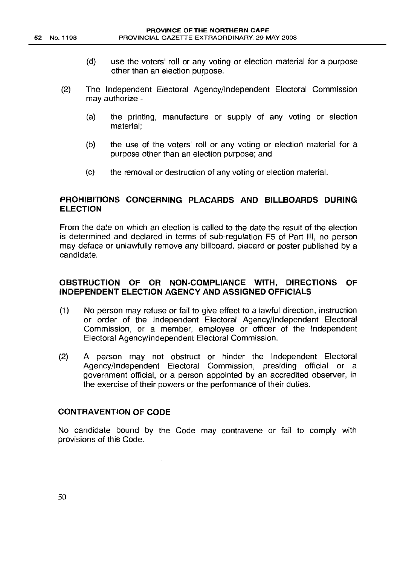- (d) use the voters' roll or any voting or election material for a purpose other than an election purpose.
- (2) The Independent Electoral Agency/Independent Electoral Commission may authorize -
	- (a) the printing, manufacture or supply of any voting or election material;
	- (b) the use of the voters' roll or any voting or election material for a purpose other than an election purpose; and
	- (c) the removal or destruction of any voting or election material.

#### **PROHIBITIONS CONCERNING PLACARDS AND BILLBOARDS DURING ELECTION**

From the date on which an election is called to the date the result of the election is determined and declared in terms of sub-regulation F5 of Part III, no person may deface or unlawfully remove any billboard, placard or poster published by a candidate.

### **OBSTRUCTION OF OR NON-COMPLIANCE WITH, DIRECTIONS OF INDEPENDENT ELECTION AGENCY AND ASSIGNED OFFICIALS**

- (1) No person may refuse or fail to give effect to a lawful direction, instruction or order of the Independent Electoral Agency/Independent Electoral Commission, or a member, employee or officer of the Independent Electoral Agency/Independent Electoral Commission.
- (2) A person may not obstruct or hinder the Independent Electoral Agency/Independent Electoral Commission, presiding official or a government official, or a person appointed by an accredited observer, in the exercise of their powers or the performance of their duties.

#### **CONTRAVENTION OF CODE**

No candidate bound by the Code may contravene or fail to comply with provisions of this Code.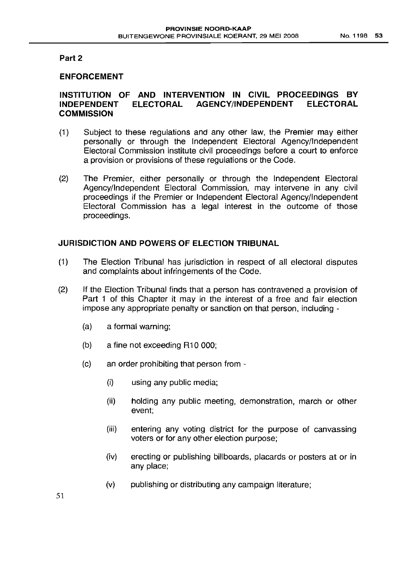#### **Part 2**

### **ENFORCEMENT**

# **INSTITUTION OF AND INTERVENTION IN CIVIL PROCEEDINGS BY INDEPENDENT ELECTORAL AGENCY/INDEPENDENT ELECTORAL COMMISSION**

- (1) Subject to these regulations and any other law, the Premier may either personally or through the Independent Electoral Agency/Independent Electoral Commission institute civil proceedings before a court to enforce a provision or provisions of these regulations or the Code.
- (2) The Premier, either personally or through the Independent Electoral Agency/Independent Electoral Commission, may intervene in any civil proceedings if the Premier or Independent Electoral Agency/Independent Electoral Commission has a legal interest in the outcome of those proceedings.

### **JURISDICTION AND POWERS OF ELECTION TRIBUNAL**

- (1) The Election Tribunal has jurisdiction in respect of all electoral disputes and complaints about infringements of the Code.
- (2) If the Election Tribunal finds that a person has contravened a provision of Part 1 of this Chapter it may in the interest of a free and fair election impose any appropriate penalty or sanction on that person, including -
	- (a) a formal warning;
	- (b) a fine not exceeding R10 000;
	- (c) an order prohibiting that person from
		- (i) using any public media;
		- (ii) holding any public meeting, demonstration, march or other event;
		- (iii) entering any voting district for the purpose of canvassing voters or for any other election purpose;
		- (iv) erecting or publishing billboards, placards or posters at or in any place;
		- (v) publishing or distributing any campaign literature;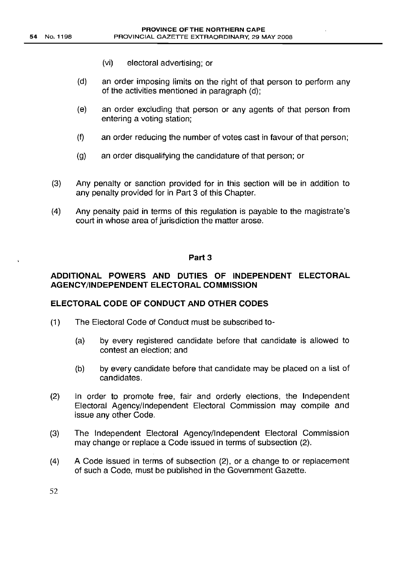- (vi) electoral advertising; or
- (d) an order imposing limits on the right of that person to perform any of the activities mentioned in paragraph (d);
- (e) an order excluding that person or any agents of that person from entering a voting station;
- (f) an order reducing the number of votes cast in favour of that person;
- (g) an order disqualifying the candidature of that person; or
- (3) Any penalty or sanction provided for in this section will be in addition to any penalty provided for in Part 3 of this Chapter.
- (4) Any penalty paid in terms of this regulation is payable to the magistrate's court in whose area of jurisdiction the matter arose.

#### Part 3

### ADDITIONAL POWERS AND DUTIES OF INDEPENDENT ELECTORAL AGENCY/INDEPENDENT ELECTORAL COMMISSION

#### ELECTORAL CODE OF CONDUCT AND OTHER CODES

- (1) The Electoral Code of Conduct must be subscribed to-
	- (a) by every registered candidate before that candidate is allowed to contest an election; and
	- (b) by every candidate before that candidate may be placed on a list of candidates.
- (2) In order to promote free, fair and orderly elections, the Independent Electoral Agency/Independent Electoral Commission may compile and issue any other Code.
- (3) The Independent Electoral Agency/Independent Electoral Commission may change or replace a Code issued in terms of subsection (2).
- (4) A Code issued in terms of subsection (2), or a change to or replacement of such a Code, must be published in the Government Gazette.

52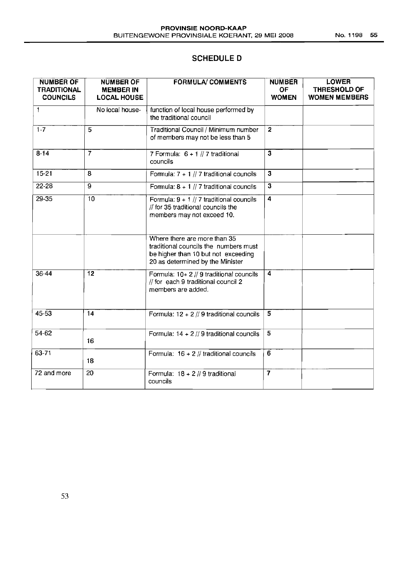# **SCHEDULE D**

| <b>NUMBER OF</b><br><b>TRADITIONAL</b><br><b>COUNCILS</b> | <b>NUMBER OF</b><br><b>MEMBER IN</b><br><b>LOCAL HOUSE</b> | <b>FORMULA/ COMMENTS</b>                                                                                                                         | <b>NUMBER</b><br><b>OF</b><br><b>WOMEN</b> | <b>LOWER</b><br><b>THRESHOLD OF</b><br><b>WOMEN MEMBERS</b> |
|-----------------------------------------------------------|------------------------------------------------------------|--------------------------------------------------------------------------------------------------------------------------------------------------|--------------------------------------------|-------------------------------------------------------------|
| 1                                                         | No local house-                                            | function of local house performed by<br>the traditional council                                                                                  |                                            |                                                             |
| $1-7$                                                     | 5                                                          | Traditional Council / Minimum number<br>of members may not be less than 5                                                                        | $\overline{2}$                             |                                                             |
| $8 - 14$                                                  | $\overline{7}$                                             | 7 Formula: $6 + 1$ // 7 traditional<br>councils                                                                                                  | $\overline{\mathbf{3}}$                    |                                                             |
| $15 - 21$                                                 | 8                                                          | Formula: $7 + 1$ // 7 traditional councils                                                                                                       | $\mathbf{3}$                               |                                                             |
| $22 - 28$                                                 | $\overline{9}$                                             | Formula: $8 + 1$ // 7 traditional councils                                                                                                       | $\overline{\mathbf{3}}$                    |                                                             |
| $29 - 35$                                                 | 10                                                         | Formula: $9 + 1$ // 7 traditional councils<br>// for 35 traditional councils the<br>members may not exceed 10.                                   | 4                                          |                                                             |
|                                                           |                                                            | Where there are more than 35<br>traditional councils the numbers must<br>be higher than 10 but not exceeding<br>20 as determined by the Minister |                                            |                                                             |
| $36 - 44$                                                 | $\overline{12}$                                            | Formula: $10+2$ // 9 traditional councils<br>// for each 9 traditional council 2<br>members are added.                                           | $\overline{4}$                             |                                                             |
| 45-53                                                     | 14                                                         | Formula: $12 + 2$ // 9 traditional councils                                                                                                      | 5                                          |                                                             |
| 54-62                                                     | 16                                                         | Formula: $14 + 2$ // 9 traditional councils                                                                                                      | $\overline{5}$                             |                                                             |
| 63-71                                                     | 18                                                         | Formula: $16 + 2$ // traditional councils                                                                                                        | 6                                          |                                                             |
| 72 and more                                               | 20                                                         | Formula: $18 + 2$ // 9 traditional<br>councils                                                                                                   | $\overline{7}$                             |                                                             |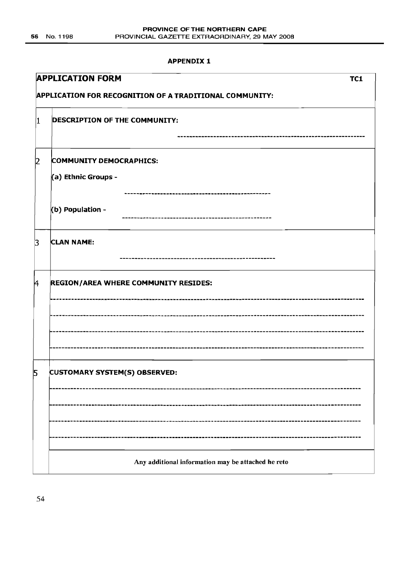#### **APPENDIX I**

|             | <b>APPLICATION FORM</b><br>TC1                          |  |  |  |
|-------------|---------------------------------------------------------|--|--|--|
|             | APPLICATION FOR RECOGNITION OF A TRADITIONAL COMMUNITY: |  |  |  |
| 1           | <b>DESCRIPTION OF THE COMMUNITY:</b>                    |  |  |  |
| 2           | <b>COMMUNITY DEMOCRAPHICS:</b><br>(a) Ethnic Groups -   |  |  |  |
|             | (b) Population -                                        |  |  |  |
| $\mathsf B$ | <b>CLAN NAME:</b>                                       |  |  |  |
| 4           | REGION/AREA WHERE COMMUNITY RESIDES:                    |  |  |  |
|             |                                                         |  |  |  |
| 5           | <b>CUSTOMARY SYSTEM(S) OBSERVED:</b>                    |  |  |  |
|             |                                                         |  |  |  |
|             | Any additional information may be attached he reto      |  |  |  |

54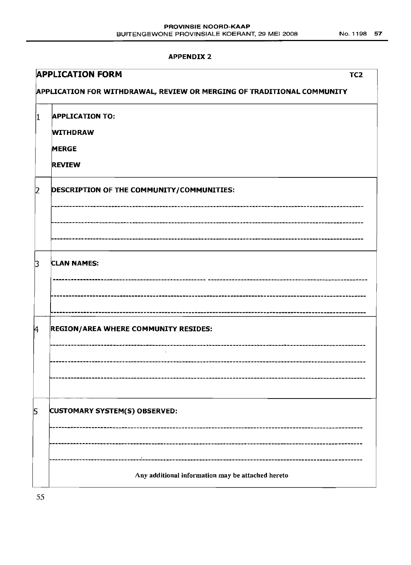#### **APPENDIX 2**

|           | <b>APPLICATION FORM</b><br>TC <sub>2</sub>                             |
|-----------|------------------------------------------------------------------------|
|           | APPLICATION FOR WITHDRAWAL, REVIEW OR MERGING OF TRADITIONAL COMMUNITY |
| IT.       | <b>APPLICATION TO:</b><br><b>WITHDRAW</b>                              |
|           | <b>MERGE</b>                                                           |
|           | <b>REVIEW</b>                                                          |
| $\vert$ 2 | DESCRIPTION OF THE COMMUNITY/COMMUNITIES:                              |
|           |                                                                        |
|           |                                                                        |
| 3         | <b>CLAN NAMES:</b>                                                     |
|           |                                                                        |
| k         | <b>REGION/AREA WHERE COMMUNITY RESIDES:</b>                            |
|           |                                                                        |
|           |                                                                        |
| 5         | CUSTOMARY SYSTEM(S) OBSERVED:                                          |
|           |                                                                        |
|           | Any additional information may be attached hereto                      |